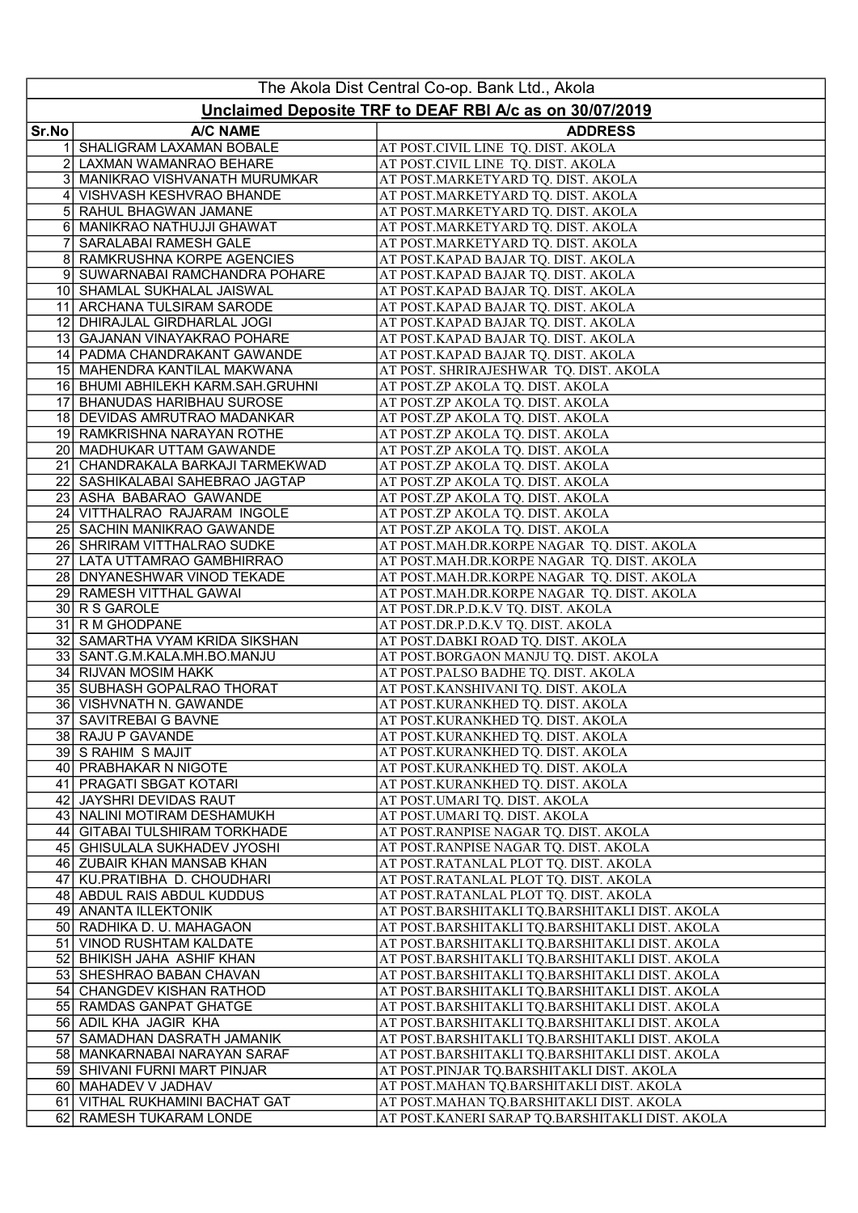| Unclaimed Deposite TRF to DEAF RBI A/c as on 30/07/2019<br>Sr.No<br><b>A/C NAME</b><br><b>ADDRESS</b><br>SHALIGRAM LAXAMAN BOBALE<br>AT POST.CIVIL LINE TQ. DIST. AKOLA<br>2<br>LAXMAN WAMANRAO BEHARE<br>AT POST.CIVIL LINE TQ. DIST. AKOLA<br>3 MANIKRAO VISHVANATH MURUMKAR<br>AT POST.MARKETYARD TQ. DIST. AKOLA<br>VISHVASH KESHVRAO BHANDE<br>AT POST.MARKETYARD TQ. DIST. AKOLA<br>41<br>5 RAHUL BHAGWAN JAMANE<br>AT POST.MARKETYARD TQ. DIST. AKOLA<br>6 MANIKRAO NATHUJJI GHAWAT<br>AT POST.MARKETYARD TQ. DIST. AKOLA<br>SARALABAI RAMESH GALE<br>AT POST.MARKETYARD TQ. DIST. AKOLA<br>8 <sup>1</sup><br>RAMKRUSHNA KORPE AGENCIES<br>AT POST.KAPAD BAJAR TQ. DIST. AKOLA<br>9 SUWARNABAI RAMCHANDRA POHARE<br>AT POST.KAPAD BAJAR TQ. DIST. AKOLA<br>10 SHAMLAL SUKHALAL JAISWAL<br>AT POST.KAPAD BAJAR TQ. DIST. AKOLA<br>11 ARCHANA TULSIRAM SARODE<br>AT POST.KAPAD BAJAR TQ. DIST. AKOLA<br>12 DHIRAJLAL GIRDHARLAL JOGI<br>AT POST.KAPAD BAJAR TQ. DIST. AKOLA<br>13 GAJANAN VINAYAKRAO POHARE<br>AT POST.KAPAD BAJAR TQ. DIST. AKOLA<br>14 PADMA CHANDRAKANT GAWANDE<br>AT POST.KAPAD BAJAR TQ. DIST. AKOLA<br>15 MAHENDRA KANTILAL MAKWANA<br>AT POST. SHRIRAJESHWAR TQ. DIST. AKOLA<br>16 BHUMI ABHILEKH KARM.SAH.GRUHNI<br>AT POST.ZP AKOLA TQ. DIST. AKOLA<br>AT POST.ZP AKOLA TQ. DIST. AKOLA<br>17 BHANUDAS HARIBHAU SUROSE<br>18 DEVIDAS AMRUTRAO MADANKAR<br>AT POST.ZP AKOLA TQ. DIST. AKOLA<br>19 RAMKRISHNA NARAYAN ROTHE<br>AT POST.ZP AKOLA TQ. DIST. AKOLA<br>20 MADHUKAR UTTAM GAWANDE<br>AT POST.ZP AKOLA TQ. DIST. AKOLA<br>211<br>CHANDRAKALA BARKAJI TARMEKWAD<br>AT POST.ZP AKOLA TQ. DIST. AKOLA<br>22 SASHIKALABAI SAHEBRAO JAGTAP<br>AT POST.ZP AKOLA TQ. DIST. AKOLA<br>23 ASHA BABARAO GAWANDE<br>AT POST.ZP AKOLA TQ. DIST. AKOLA<br>AT POST.ZP AKOLA TQ. DIST. AKOLA<br>24 VITTHALRAO RAJARAM INGOLE<br>25 SACHIN MANIKRAO GAWANDE<br>AT POST.ZP AKOLA TQ. DIST. AKOLA<br>26 SHRIRAM VITTHALRAO SUDKE<br>AT POST.MAH.DR.KORPE NAGAR TQ. DIST. AKOLA<br>27 LATA UTTAMRAO GAMBHIRRAO<br>AT POST.MAH.DR.KORPE NAGAR TQ. DIST. AKOLA<br>28 DNYANESHWAR VINOD TEKADE<br>AT POST.MAH.DR.KORPE NAGAR TQ. DIST. AKOLA<br>29 RAMESH VITTHAL GAWAI<br>AT POST.MAH.DR.KORPE NAGAR TQ. DIST. AKOLA<br>30 R S GAROLE<br>AT POST.DR.P.D.K.V TQ. DIST. AKOLA<br>31 R M GHODPANE<br>AT POST.DR.P.D.K.V TQ. DIST. AKOLA<br>32 SAMARTHA VYAM KRIDA SIKSHAN<br>AT POST.DABKI ROAD TQ. DIST. AKOLA<br>33 SANT.G.M.KALA.MH.BO.MANJU<br>AT POST.BORGAON MANJU TQ. DIST. AKOLA<br>34 RIJVAN MOSIM HAKK<br>AT POST.PALSO BADHE TQ. DIST. AKOLA<br>AT POST.KANSHIVANI TQ. DIST. AKOLA<br>35 SUBHASH GOPALRAO THORAT<br>36 VISHVNATH N. GAWANDE<br>AT POST.KURANKHED TQ. DIST. AKOLA<br>37 SAVITREBAI G BAVNE<br>AT POST.KURANKHED TQ. DIST. AKOLA<br>38 RAJU P GAVANDE<br>AT POST.KURANKHED TQ. DIST. AKOLA<br>39 S RAHIM S MAJIT<br>AT POST.KURANKHED TQ. DIST. AKOLA<br>40 PRABHAKAR N NIGOTE<br>AT POST.KURANKHED TQ. DIST. AKOLA<br>41 PRAGATI SBGAT KOTARI<br>AT POST.KURANKHED TQ. DIST. AKOLA<br>42 JAYSHRI DEVIDAS RAUT<br>AT POST.UMARI TQ. DIST. AKOLA<br>43 NALINI MOTIRAM DESHAMUKH<br>AT POST.UMARI TQ. DIST. AKOLA<br>AT POST.RANPISE NAGAR TQ. DIST. AKOLA<br>44 GITABAI TULSHIRAM TORKHADE<br>45 GHISULALA SUKHADEV JYOSHI<br>AT POST.RANPISE NAGAR TQ. DIST. AKOLA<br>AT POST.RATANLAL PLOT TQ. DIST. AKOLA<br>46 ZUBAIR KHAN MANSAB KHAN<br>47 KU.PRATIBHA D. CHOUDHARI<br>AT POST.RATANLAL PLOT TQ. DIST. AKOLA<br>AT POST.RATANLAL PLOT TQ. DIST. AKOLA<br>48 ABDUL RAIS ABDUL KUDDUS<br>49 ANANTA ILLEKTONIK<br>AT POST.BARSHITAKLI TQ.BARSHITAKLI DIST. AKOLA<br>50 RADHIKA D. U. MAHAGAON<br>AT POST.BARSHITAKLI TQ.BARSHITAKLI DIST. AKOLA<br>51 VINOD RUSHTAM KALDATE<br>AT POST.BARSHITAKLI TQ.BARSHITAKLI DIST. AKOLA<br>52 BHIKISH JAHA ASHIF KHAN<br>AT POST.BARSHITAKLI TQ.BARSHITAKLI DIST. AKOLA<br>53 SHESHRAO BABAN CHAVAN<br>AT POST.BARSHITAKLI TQ.BARSHITAKLI DIST. AKOLA<br>54 CHANGDEV KISHAN RATHOD<br>AT POST.BARSHITAKLI TQ.BARSHITAKLI DIST. AKOLA<br>55 RAMDAS GANPAT GHATGE<br>AT POST.BARSHITAKLI TQ.BARSHITAKLI DIST. AKOLA<br>56 ADIL KHA JAGIR KHA<br>AT POST.BARSHITAKLI TQ.BARSHITAKLI DIST. AKOLA<br>AT POST.BARSHITAKLI TQ.BARSHITAKLI DIST. AKOLA<br>57 SAMADHAN DASRATH JAMANIK<br>58 MANKARNABAI NARAYAN SARAF<br>AT POST.BARSHITAKLI TQ.BARSHITAKLI DIST. AKOLA<br>59 SHIVANI FURNI MART PINJAR<br>AT POST.PINJAR TQ.BARSHITAKLI DIST. AKOLA<br>60 MAHADEV V JADHAV<br>AT POST.MAHAN TQ.BARSHITAKLI DIST. AKOLA<br>61 VITHAL RUKHAMINI BACHAT GAT<br>AT POST.MAHAN TQ.BARSHITAKLI DIST. AKOLA | The Akola Dist Central Co-op. Bank Ltd., Akola |                         |                                                 |  |
|-----------------------------------------------------------------------------------------------------------------------------------------------------------------------------------------------------------------------------------------------------------------------------------------------------------------------------------------------------------------------------------------------------------------------------------------------------------------------------------------------------------------------------------------------------------------------------------------------------------------------------------------------------------------------------------------------------------------------------------------------------------------------------------------------------------------------------------------------------------------------------------------------------------------------------------------------------------------------------------------------------------------------------------------------------------------------------------------------------------------------------------------------------------------------------------------------------------------------------------------------------------------------------------------------------------------------------------------------------------------------------------------------------------------------------------------------------------------------------------------------------------------------------------------------------------------------------------------------------------------------------------------------------------------------------------------------------------------------------------------------------------------------------------------------------------------------------------------------------------------------------------------------------------------------------------------------------------------------------------------------------------------------------------------------------------------------------------------------------------------------------------------------------------------------------------------------------------------------------------------------------------------------------------------------------------------------------------------------------------------------------------------------------------------------------------------------------------------------------------------------------------------------------------------------------------------------------------------------------------------------------------------------------------------------------------------------------------------------------------------------------------------------------------------------------------------------------------------------------------------------------------------------------------------------------------------------------------------------------------------------------------------------------------------------------------------------------------------------------------------------------------------------------------------------------------------------------------------------------------------------------------------------------------------------------------------------------------------------------------------------------------------------------------------------------------------------------------------------------------------------------------------------------------------------------------------------------------------------------------------------------------------------------------------------------------------------------------------------------------------------------------------------------------------------------------------------------------------------------------------------------------------------------------------------------------------------------------------------------------------------------------------------------------------------------------------------------------------------------------------------------------------------------------------------------------------------------------------------------------------------------------------------------------------------------------------------------------------------------------------------------------------------------------------------------------------------------------------------------------------------------------------------------------------------------------------------------|------------------------------------------------|-------------------------|-------------------------------------------------|--|
|                                                                                                                                                                                                                                                                                                                                                                                                                                                                                                                                                                                                                                                                                                                                                                                                                                                                                                                                                                                                                                                                                                                                                                                                                                                                                                                                                                                                                                                                                                                                                                                                                                                                                                                                                                                                                                                                                                                                                                                                                                                                                                                                                                                                                                                                                                                                                                                                                                                                                                                                                                                                                                                                                                                                                                                                                                                                                                                                                                                                                                                                                                                                                                                                                                                                                                                                                                                                                                                                                                                                                                                                                                                                                                                                                                                                                                                                                                                                                                                                                                                                                                                                                                                                                                                                                                                                                                                                                                                                                                                                                                             |                                                |                         |                                                 |  |
|                                                                                                                                                                                                                                                                                                                                                                                                                                                                                                                                                                                                                                                                                                                                                                                                                                                                                                                                                                                                                                                                                                                                                                                                                                                                                                                                                                                                                                                                                                                                                                                                                                                                                                                                                                                                                                                                                                                                                                                                                                                                                                                                                                                                                                                                                                                                                                                                                                                                                                                                                                                                                                                                                                                                                                                                                                                                                                                                                                                                                                                                                                                                                                                                                                                                                                                                                                                                                                                                                                                                                                                                                                                                                                                                                                                                                                                                                                                                                                                                                                                                                                                                                                                                                                                                                                                                                                                                                                                                                                                                                                             |                                                |                         |                                                 |  |
|                                                                                                                                                                                                                                                                                                                                                                                                                                                                                                                                                                                                                                                                                                                                                                                                                                                                                                                                                                                                                                                                                                                                                                                                                                                                                                                                                                                                                                                                                                                                                                                                                                                                                                                                                                                                                                                                                                                                                                                                                                                                                                                                                                                                                                                                                                                                                                                                                                                                                                                                                                                                                                                                                                                                                                                                                                                                                                                                                                                                                                                                                                                                                                                                                                                                                                                                                                                                                                                                                                                                                                                                                                                                                                                                                                                                                                                                                                                                                                                                                                                                                                                                                                                                                                                                                                                                                                                                                                                                                                                                                                             |                                                |                         |                                                 |  |
|                                                                                                                                                                                                                                                                                                                                                                                                                                                                                                                                                                                                                                                                                                                                                                                                                                                                                                                                                                                                                                                                                                                                                                                                                                                                                                                                                                                                                                                                                                                                                                                                                                                                                                                                                                                                                                                                                                                                                                                                                                                                                                                                                                                                                                                                                                                                                                                                                                                                                                                                                                                                                                                                                                                                                                                                                                                                                                                                                                                                                                                                                                                                                                                                                                                                                                                                                                                                                                                                                                                                                                                                                                                                                                                                                                                                                                                                                                                                                                                                                                                                                                                                                                                                                                                                                                                                                                                                                                                                                                                                                                             |                                                |                         |                                                 |  |
|                                                                                                                                                                                                                                                                                                                                                                                                                                                                                                                                                                                                                                                                                                                                                                                                                                                                                                                                                                                                                                                                                                                                                                                                                                                                                                                                                                                                                                                                                                                                                                                                                                                                                                                                                                                                                                                                                                                                                                                                                                                                                                                                                                                                                                                                                                                                                                                                                                                                                                                                                                                                                                                                                                                                                                                                                                                                                                                                                                                                                                                                                                                                                                                                                                                                                                                                                                                                                                                                                                                                                                                                                                                                                                                                                                                                                                                                                                                                                                                                                                                                                                                                                                                                                                                                                                                                                                                                                                                                                                                                                                             |                                                |                         |                                                 |  |
|                                                                                                                                                                                                                                                                                                                                                                                                                                                                                                                                                                                                                                                                                                                                                                                                                                                                                                                                                                                                                                                                                                                                                                                                                                                                                                                                                                                                                                                                                                                                                                                                                                                                                                                                                                                                                                                                                                                                                                                                                                                                                                                                                                                                                                                                                                                                                                                                                                                                                                                                                                                                                                                                                                                                                                                                                                                                                                                                                                                                                                                                                                                                                                                                                                                                                                                                                                                                                                                                                                                                                                                                                                                                                                                                                                                                                                                                                                                                                                                                                                                                                                                                                                                                                                                                                                                                                                                                                                                                                                                                                                             |                                                |                         |                                                 |  |
|                                                                                                                                                                                                                                                                                                                                                                                                                                                                                                                                                                                                                                                                                                                                                                                                                                                                                                                                                                                                                                                                                                                                                                                                                                                                                                                                                                                                                                                                                                                                                                                                                                                                                                                                                                                                                                                                                                                                                                                                                                                                                                                                                                                                                                                                                                                                                                                                                                                                                                                                                                                                                                                                                                                                                                                                                                                                                                                                                                                                                                                                                                                                                                                                                                                                                                                                                                                                                                                                                                                                                                                                                                                                                                                                                                                                                                                                                                                                                                                                                                                                                                                                                                                                                                                                                                                                                                                                                                                                                                                                                                             |                                                |                         |                                                 |  |
|                                                                                                                                                                                                                                                                                                                                                                                                                                                                                                                                                                                                                                                                                                                                                                                                                                                                                                                                                                                                                                                                                                                                                                                                                                                                                                                                                                                                                                                                                                                                                                                                                                                                                                                                                                                                                                                                                                                                                                                                                                                                                                                                                                                                                                                                                                                                                                                                                                                                                                                                                                                                                                                                                                                                                                                                                                                                                                                                                                                                                                                                                                                                                                                                                                                                                                                                                                                                                                                                                                                                                                                                                                                                                                                                                                                                                                                                                                                                                                                                                                                                                                                                                                                                                                                                                                                                                                                                                                                                                                                                                                             |                                                |                         |                                                 |  |
|                                                                                                                                                                                                                                                                                                                                                                                                                                                                                                                                                                                                                                                                                                                                                                                                                                                                                                                                                                                                                                                                                                                                                                                                                                                                                                                                                                                                                                                                                                                                                                                                                                                                                                                                                                                                                                                                                                                                                                                                                                                                                                                                                                                                                                                                                                                                                                                                                                                                                                                                                                                                                                                                                                                                                                                                                                                                                                                                                                                                                                                                                                                                                                                                                                                                                                                                                                                                                                                                                                                                                                                                                                                                                                                                                                                                                                                                                                                                                                                                                                                                                                                                                                                                                                                                                                                                                                                                                                                                                                                                                                             |                                                |                         |                                                 |  |
|                                                                                                                                                                                                                                                                                                                                                                                                                                                                                                                                                                                                                                                                                                                                                                                                                                                                                                                                                                                                                                                                                                                                                                                                                                                                                                                                                                                                                                                                                                                                                                                                                                                                                                                                                                                                                                                                                                                                                                                                                                                                                                                                                                                                                                                                                                                                                                                                                                                                                                                                                                                                                                                                                                                                                                                                                                                                                                                                                                                                                                                                                                                                                                                                                                                                                                                                                                                                                                                                                                                                                                                                                                                                                                                                                                                                                                                                                                                                                                                                                                                                                                                                                                                                                                                                                                                                                                                                                                                                                                                                                                             |                                                |                         |                                                 |  |
|                                                                                                                                                                                                                                                                                                                                                                                                                                                                                                                                                                                                                                                                                                                                                                                                                                                                                                                                                                                                                                                                                                                                                                                                                                                                                                                                                                                                                                                                                                                                                                                                                                                                                                                                                                                                                                                                                                                                                                                                                                                                                                                                                                                                                                                                                                                                                                                                                                                                                                                                                                                                                                                                                                                                                                                                                                                                                                                                                                                                                                                                                                                                                                                                                                                                                                                                                                                                                                                                                                                                                                                                                                                                                                                                                                                                                                                                                                                                                                                                                                                                                                                                                                                                                                                                                                                                                                                                                                                                                                                                                                             |                                                |                         |                                                 |  |
|                                                                                                                                                                                                                                                                                                                                                                                                                                                                                                                                                                                                                                                                                                                                                                                                                                                                                                                                                                                                                                                                                                                                                                                                                                                                                                                                                                                                                                                                                                                                                                                                                                                                                                                                                                                                                                                                                                                                                                                                                                                                                                                                                                                                                                                                                                                                                                                                                                                                                                                                                                                                                                                                                                                                                                                                                                                                                                                                                                                                                                                                                                                                                                                                                                                                                                                                                                                                                                                                                                                                                                                                                                                                                                                                                                                                                                                                                                                                                                                                                                                                                                                                                                                                                                                                                                                                                                                                                                                                                                                                                                             |                                                |                         |                                                 |  |
|                                                                                                                                                                                                                                                                                                                                                                                                                                                                                                                                                                                                                                                                                                                                                                                                                                                                                                                                                                                                                                                                                                                                                                                                                                                                                                                                                                                                                                                                                                                                                                                                                                                                                                                                                                                                                                                                                                                                                                                                                                                                                                                                                                                                                                                                                                                                                                                                                                                                                                                                                                                                                                                                                                                                                                                                                                                                                                                                                                                                                                                                                                                                                                                                                                                                                                                                                                                                                                                                                                                                                                                                                                                                                                                                                                                                                                                                                                                                                                                                                                                                                                                                                                                                                                                                                                                                                                                                                                                                                                                                                                             |                                                |                         |                                                 |  |
|                                                                                                                                                                                                                                                                                                                                                                                                                                                                                                                                                                                                                                                                                                                                                                                                                                                                                                                                                                                                                                                                                                                                                                                                                                                                                                                                                                                                                                                                                                                                                                                                                                                                                                                                                                                                                                                                                                                                                                                                                                                                                                                                                                                                                                                                                                                                                                                                                                                                                                                                                                                                                                                                                                                                                                                                                                                                                                                                                                                                                                                                                                                                                                                                                                                                                                                                                                                                                                                                                                                                                                                                                                                                                                                                                                                                                                                                                                                                                                                                                                                                                                                                                                                                                                                                                                                                                                                                                                                                                                                                                                             |                                                |                         |                                                 |  |
|                                                                                                                                                                                                                                                                                                                                                                                                                                                                                                                                                                                                                                                                                                                                                                                                                                                                                                                                                                                                                                                                                                                                                                                                                                                                                                                                                                                                                                                                                                                                                                                                                                                                                                                                                                                                                                                                                                                                                                                                                                                                                                                                                                                                                                                                                                                                                                                                                                                                                                                                                                                                                                                                                                                                                                                                                                                                                                                                                                                                                                                                                                                                                                                                                                                                                                                                                                                                                                                                                                                                                                                                                                                                                                                                                                                                                                                                                                                                                                                                                                                                                                                                                                                                                                                                                                                                                                                                                                                                                                                                                                             |                                                |                         |                                                 |  |
|                                                                                                                                                                                                                                                                                                                                                                                                                                                                                                                                                                                                                                                                                                                                                                                                                                                                                                                                                                                                                                                                                                                                                                                                                                                                                                                                                                                                                                                                                                                                                                                                                                                                                                                                                                                                                                                                                                                                                                                                                                                                                                                                                                                                                                                                                                                                                                                                                                                                                                                                                                                                                                                                                                                                                                                                                                                                                                                                                                                                                                                                                                                                                                                                                                                                                                                                                                                                                                                                                                                                                                                                                                                                                                                                                                                                                                                                                                                                                                                                                                                                                                                                                                                                                                                                                                                                                                                                                                                                                                                                                                             |                                                |                         |                                                 |  |
|                                                                                                                                                                                                                                                                                                                                                                                                                                                                                                                                                                                                                                                                                                                                                                                                                                                                                                                                                                                                                                                                                                                                                                                                                                                                                                                                                                                                                                                                                                                                                                                                                                                                                                                                                                                                                                                                                                                                                                                                                                                                                                                                                                                                                                                                                                                                                                                                                                                                                                                                                                                                                                                                                                                                                                                                                                                                                                                                                                                                                                                                                                                                                                                                                                                                                                                                                                                                                                                                                                                                                                                                                                                                                                                                                                                                                                                                                                                                                                                                                                                                                                                                                                                                                                                                                                                                                                                                                                                                                                                                                                             |                                                |                         |                                                 |  |
|                                                                                                                                                                                                                                                                                                                                                                                                                                                                                                                                                                                                                                                                                                                                                                                                                                                                                                                                                                                                                                                                                                                                                                                                                                                                                                                                                                                                                                                                                                                                                                                                                                                                                                                                                                                                                                                                                                                                                                                                                                                                                                                                                                                                                                                                                                                                                                                                                                                                                                                                                                                                                                                                                                                                                                                                                                                                                                                                                                                                                                                                                                                                                                                                                                                                                                                                                                                                                                                                                                                                                                                                                                                                                                                                                                                                                                                                                                                                                                                                                                                                                                                                                                                                                                                                                                                                                                                                                                                                                                                                                                             |                                                |                         |                                                 |  |
|                                                                                                                                                                                                                                                                                                                                                                                                                                                                                                                                                                                                                                                                                                                                                                                                                                                                                                                                                                                                                                                                                                                                                                                                                                                                                                                                                                                                                                                                                                                                                                                                                                                                                                                                                                                                                                                                                                                                                                                                                                                                                                                                                                                                                                                                                                                                                                                                                                                                                                                                                                                                                                                                                                                                                                                                                                                                                                                                                                                                                                                                                                                                                                                                                                                                                                                                                                                                                                                                                                                                                                                                                                                                                                                                                                                                                                                                                                                                                                                                                                                                                                                                                                                                                                                                                                                                                                                                                                                                                                                                                                             |                                                |                         |                                                 |  |
|                                                                                                                                                                                                                                                                                                                                                                                                                                                                                                                                                                                                                                                                                                                                                                                                                                                                                                                                                                                                                                                                                                                                                                                                                                                                                                                                                                                                                                                                                                                                                                                                                                                                                                                                                                                                                                                                                                                                                                                                                                                                                                                                                                                                                                                                                                                                                                                                                                                                                                                                                                                                                                                                                                                                                                                                                                                                                                                                                                                                                                                                                                                                                                                                                                                                                                                                                                                                                                                                                                                                                                                                                                                                                                                                                                                                                                                                                                                                                                                                                                                                                                                                                                                                                                                                                                                                                                                                                                                                                                                                                                             |                                                |                         |                                                 |  |
|                                                                                                                                                                                                                                                                                                                                                                                                                                                                                                                                                                                                                                                                                                                                                                                                                                                                                                                                                                                                                                                                                                                                                                                                                                                                                                                                                                                                                                                                                                                                                                                                                                                                                                                                                                                                                                                                                                                                                                                                                                                                                                                                                                                                                                                                                                                                                                                                                                                                                                                                                                                                                                                                                                                                                                                                                                                                                                                                                                                                                                                                                                                                                                                                                                                                                                                                                                                                                                                                                                                                                                                                                                                                                                                                                                                                                                                                                                                                                                                                                                                                                                                                                                                                                                                                                                                                                                                                                                                                                                                                                                             |                                                |                         |                                                 |  |
|                                                                                                                                                                                                                                                                                                                                                                                                                                                                                                                                                                                                                                                                                                                                                                                                                                                                                                                                                                                                                                                                                                                                                                                                                                                                                                                                                                                                                                                                                                                                                                                                                                                                                                                                                                                                                                                                                                                                                                                                                                                                                                                                                                                                                                                                                                                                                                                                                                                                                                                                                                                                                                                                                                                                                                                                                                                                                                                                                                                                                                                                                                                                                                                                                                                                                                                                                                                                                                                                                                                                                                                                                                                                                                                                                                                                                                                                                                                                                                                                                                                                                                                                                                                                                                                                                                                                                                                                                                                                                                                                                                             |                                                |                         |                                                 |  |
|                                                                                                                                                                                                                                                                                                                                                                                                                                                                                                                                                                                                                                                                                                                                                                                                                                                                                                                                                                                                                                                                                                                                                                                                                                                                                                                                                                                                                                                                                                                                                                                                                                                                                                                                                                                                                                                                                                                                                                                                                                                                                                                                                                                                                                                                                                                                                                                                                                                                                                                                                                                                                                                                                                                                                                                                                                                                                                                                                                                                                                                                                                                                                                                                                                                                                                                                                                                                                                                                                                                                                                                                                                                                                                                                                                                                                                                                                                                                                                                                                                                                                                                                                                                                                                                                                                                                                                                                                                                                                                                                                                             |                                                |                         |                                                 |  |
|                                                                                                                                                                                                                                                                                                                                                                                                                                                                                                                                                                                                                                                                                                                                                                                                                                                                                                                                                                                                                                                                                                                                                                                                                                                                                                                                                                                                                                                                                                                                                                                                                                                                                                                                                                                                                                                                                                                                                                                                                                                                                                                                                                                                                                                                                                                                                                                                                                                                                                                                                                                                                                                                                                                                                                                                                                                                                                                                                                                                                                                                                                                                                                                                                                                                                                                                                                                                                                                                                                                                                                                                                                                                                                                                                                                                                                                                                                                                                                                                                                                                                                                                                                                                                                                                                                                                                                                                                                                                                                                                                                             |                                                |                         |                                                 |  |
|                                                                                                                                                                                                                                                                                                                                                                                                                                                                                                                                                                                                                                                                                                                                                                                                                                                                                                                                                                                                                                                                                                                                                                                                                                                                                                                                                                                                                                                                                                                                                                                                                                                                                                                                                                                                                                                                                                                                                                                                                                                                                                                                                                                                                                                                                                                                                                                                                                                                                                                                                                                                                                                                                                                                                                                                                                                                                                                                                                                                                                                                                                                                                                                                                                                                                                                                                                                                                                                                                                                                                                                                                                                                                                                                                                                                                                                                                                                                                                                                                                                                                                                                                                                                                                                                                                                                                                                                                                                                                                                                                                             |                                                |                         |                                                 |  |
|                                                                                                                                                                                                                                                                                                                                                                                                                                                                                                                                                                                                                                                                                                                                                                                                                                                                                                                                                                                                                                                                                                                                                                                                                                                                                                                                                                                                                                                                                                                                                                                                                                                                                                                                                                                                                                                                                                                                                                                                                                                                                                                                                                                                                                                                                                                                                                                                                                                                                                                                                                                                                                                                                                                                                                                                                                                                                                                                                                                                                                                                                                                                                                                                                                                                                                                                                                                                                                                                                                                                                                                                                                                                                                                                                                                                                                                                                                                                                                                                                                                                                                                                                                                                                                                                                                                                                                                                                                                                                                                                                                             |                                                |                         |                                                 |  |
|                                                                                                                                                                                                                                                                                                                                                                                                                                                                                                                                                                                                                                                                                                                                                                                                                                                                                                                                                                                                                                                                                                                                                                                                                                                                                                                                                                                                                                                                                                                                                                                                                                                                                                                                                                                                                                                                                                                                                                                                                                                                                                                                                                                                                                                                                                                                                                                                                                                                                                                                                                                                                                                                                                                                                                                                                                                                                                                                                                                                                                                                                                                                                                                                                                                                                                                                                                                                                                                                                                                                                                                                                                                                                                                                                                                                                                                                                                                                                                                                                                                                                                                                                                                                                                                                                                                                                                                                                                                                                                                                                                             |                                                |                         |                                                 |  |
|                                                                                                                                                                                                                                                                                                                                                                                                                                                                                                                                                                                                                                                                                                                                                                                                                                                                                                                                                                                                                                                                                                                                                                                                                                                                                                                                                                                                                                                                                                                                                                                                                                                                                                                                                                                                                                                                                                                                                                                                                                                                                                                                                                                                                                                                                                                                                                                                                                                                                                                                                                                                                                                                                                                                                                                                                                                                                                                                                                                                                                                                                                                                                                                                                                                                                                                                                                                                                                                                                                                                                                                                                                                                                                                                                                                                                                                                                                                                                                                                                                                                                                                                                                                                                                                                                                                                                                                                                                                                                                                                                                             |                                                |                         |                                                 |  |
|                                                                                                                                                                                                                                                                                                                                                                                                                                                                                                                                                                                                                                                                                                                                                                                                                                                                                                                                                                                                                                                                                                                                                                                                                                                                                                                                                                                                                                                                                                                                                                                                                                                                                                                                                                                                                                                                                                                                                                                                                                                                                                                                                                                                                                                                                                                                                                                                                                                                                                                                                                                                                                                                                                                                                                                                                                                                                                                                                                                                                                                                                                                                                                                                                                                                                                                                                                                                                                                                                                                                                                                                                                                                                                                                                                                                                                                                                                                                                                                                                                                                                                                                                                                                                                                                                                                                                                                                                                                                                                                                                                             |                                                |                         |                                                 |  |
|                                                                                                                                                                                                                                                                                                                                                                                                                                                                                                                                                                                                                                                                                                                                                                                                                                                                                                                                                                                                                                                                                                                                                                                                                                                                                                                                                                                                                                                                                                                                                                                                                                                                                                                                                                                                                                                                                                                                                                                                                                                                                                                                                                                                                                                                                                                                                                                                                                                                                                                                                                                                                                                                                                                                                                                                                                                                                                                                                                                                                                                                                                                                                                                                                                                                                                                                                                                                                                                                                                                                                                                                                                                                                                                                                                                                                                                                                                                                                                                                                                                                                                                                                                                                                                                                                                                                                                                                                                                                                                                                                                             |                                                |                         |                                                 |  |
|                                                                                                                                                                                                                                                                                                                                                                                                                                                                                                                                                                                                                                                                                                                                                                                                                                                                                                                                                                                                                                                                                                                                                                                                                                                                                                                                                                                                                                                                                                                                                                                                                                                                                                                                                                                                                                                                                                                                                                                                                                                                                                                                                                                                                                                                                                                                                                                                                                                                                                                                                                                                                                                                                                                                                                                                                                                                                                                                                                                                                                                                                                                                                                                                                                                                                                                                                                                                                                                                                                                                                                                                                                                                                                                                                                                                                                                                                                                                                                                                                                                                                                                                                                                                                                                                                                                                                                                                                                                                                                                                                                             |                                                |                         |                                                 |  |
|                                                                                                                                                                                                                                                                                                                                                                                                                                                                                                                                                                                                                                                                                                                                                                                                                                                                                                                                                                                                                                                                                                                                                                                                                                                                                                                                                                                                                                                                                                                                                                                                                                                                                                                                                                                                                                                                                                                                                                                                                                                                                                                                                                                                                                                                                                                                                                                                                                                                                                                                                                                                                                                                                                                                                                                                                                                                                                                                                                                                                                                                                                                                                                                                                                                                                                                                                                                                                                                                                                                                                                                                                                                                                                                                                                                                                                                                                                                                                                                                                                                                                                                                                                                                                                                                                                                                                                                                                                                                                                                                                                             |                                                |                         |                                                 |  |
|                                                                                                                                                                                                                                                                                                                                                                                                                                                                                                                                                                                                                                                                                                                                                                                                                                                                                                                                                                                                                                                                                                                                                                                                                                                                                                                                                                                                                                                                                                                                                                                                                                                                                                                                                                                                                                                                                                                                                                                                                                                                                                                                                                                                                                                                                                                                                                                                                                                                                                                                                                                                                                                                                                                                                                                                                                                                                                                                                                                                                                                                                                                                                                                                                                                                                                                                                                                                                                                                                                                                                                                                                                                                                                                                                                                                                                                                                                                                                                                                                                                                                                                                                                                                                                                                                                                                                                                                                                                                                                                                                                             |                                                |                         |                                                 |  |
|                                                                                                                                                                                                                                                                                                                                                                                                                                                                                                                                                                                                                                                                                                                                                                                                                                                                                                                                                                                                                                                                                                                                                                                                                                                                                                                                                                                                                                                                                                                                                                                                                                                                                                                                                                                                                                                                                                                                                                                                                                                                                                                                                                                                                                                                                                                                                                                                                                                                                                                                                                                                                                                                                                                                                                                                                                                                                                                                                                                                                                                                                                                                                                                                                                                                                                                                                                                                                                                                                                                                                                                                                                                                                                                                                                                                                                                                                                                                                                                                                                                                                                                                                                                                                                                                                                                                                                                                                                                                                                                                                                             |                                                |                         |                                                 |  |
|                                                                                                                                                                                                                                                                                                                                                                                                                                                                                                                                                                                                                                                                                                                                                                                                                                                                                                                                                                                                                                                                                                                                                                                                                                                                                                                                                                                                                                                                                                                                                                                                                                                                                                                                                                                                                                                                                                                                                                                                                                                                                                                                                                                                                                                                                                                                                                                                                                                                                                                                                                                                                                                                                                                                                                                                                                                                                                                                                                                                                                                                                                                                                                                                                                                                                                                                                                                                                                                                                                                                                                                                                                                                                                                                                                                                                                                                                                                                                                                                                                                                                                                                                                                                                                                                                                                                                                                                                                                                                                                                                                             |                                                |                         |                                                 |  |
|                                                                                                                                                                                                                                                                                                                                                                                                                                                                                                                                                                                                                                                                                                                                                                                                                                                                                                                                                                                                                                                                                                                                                                                                                                                                                                                                                                                                                                                                                                                                                                                                                                                                                                                                                                                                                                                                                                                                                                                                                                                                                                                                                                                                                                                                                                                                                                                                                                                                                                                                                                                                                                                                                                                                                                                                                                                                                                                                                                                                                                                                                                                                                                                                                                                                                                                                                                                                                                                                                                                                                                                                                                                                                                                                                                                                                                                                                                                                                                                                                                                                                                                                                                                                                                                                                                                                                                                                                                                                                                                                                                             |                                                |                         |                                                 |  |
|                                                                                                                                                                                                                                                                                                                                                                                                                                                                                                                                                                                                                                                                                                                                                                                                                                                                                                                                                                                                                                                                                                                                                                                                                                                                                                                                                                                                                                                                                                                                                                                                                                                                                                                                                                                                                                                                                                                                                                                                                                                                                                                                                                                                                                                                                                                                                                                                                                                                                                                                                                                                                                                                                                                                                                                                                                                                                                                                                                                                                                                                                                                                                                                                                                                                                                                                                                                                                                                                                                                                                                                                                                                                                                                                                                                                                                                                                                                                                                                                                                                                                                                                                                                                                                                                                                                                                                                                                                                                                                                                                                             |                                                |                         |                                                 |  |
|                                                                                                                                                                                                                                                                                                                                                                                                                                                                                                                                                                                                                                                                                                                                                                                                                                                                                                                                                                                                                                                                                                                                                                                                                                                                                                                                                                                                                                                                                                                                                                                                                                                                                                                                                                                                                                                                                                                                                                                                                                                                                                                                                                                                                                                                                                                                                                                                                                                                                                                                                                                                                                                                                                                                                                                                                                                                                                                                                                                                                                                                                                                                                                                                                                                                                                                                                                                                                                                                                                                                                                                                                                                                                                                                                                                                                                                                                                                                                                                                                                                                                                                                                                                                                                                                                                                                                                                                                                                                                                                                                                             |                                                |                         |                                                 |  |
|                                                                                                                                                                                                                                                                                                                                                                                                                                                                                                                                                                                                                                                                                                                                                                                                                                                                                                                                                                                                                                                                                                                                                                                                                                                                                                                                                                                                                                                                                                                                                                                                                                                                                                                                                                                                                                                                                                                                                                                                                                                                                                                                                                                                                                                                                                                                                                                                                                                                                                                                                                                                                                                                                                                                                                                                                                                                                                                                                                                                                                                                                                                                                                                                                                                                                                                                                                                                                                                                                                                                                                                                                                                                                                                                                                                                                                                                                                                                                                                                                                                                                                                                                                                                                                                                                                                                                                                                                                                                                                                                                                             |                                                |                         |                                                 |  |
|                                                                                                                                                                                                                                                                                                                                                                                                                                                                                                                                                                                                                                                                                                                                                                                                                                                                                                                                                                                                                                                                                                                                                                                                                                                                                                                                                                                                                                                                                                                                                                                                                                                                                                                                                                                                                                                                                                                                                                                                                                                                                                                                                                                                                                                                                                                                                                                                                                                                                                                                                                                                                                                                                                                                                                                                                                                                                                                                                                                                                                                                                                                                                                                                                                                                                                                                                                                                                                                                                                                                                                                                                                                                                                                                                                                                                                                                                                                                                                                                                                                                                                                                                                                                                                                                                                                                                                                                                                                                                                                                                                             |                                                |                         |                                                 |  |
|                                                                                                                                                                                                                                                                                                                                                                                                                                                                                                                                                                                                                                                                                                                                                                                                                                                                                                                                                                                                                                                                                                                                                                                                                                                                                                                                                                                                                                                                                                                                                                                                                                                                                                                                                                                                                                                                                                                                                                                                                                                                                                                                                                                                                                                                                                                                                                                                                                                                                                                                                                                                                                                                                                                                                                                                                                                                                                                                                                                                                                                                                                                                                                                                                                                                                                                                                                                                                                                                                                                                                                                                                                                                                                                                                                                                                                                                                                                                                                                                                                                                                                                                                                                                                                                                                                                                                                                                                                                                                                                                                                             |                                                |                         |                                                 |  |
|                                                                                                                                                                                                                                                                                                                                                                                                                                                                                                                                                                                                                                                                                                                                                                                                                                                                                                                                                                                                                                                                                                                                                                                                                                                                                                                                                                                                                                                                                                                                                                                                                                                                                                                                                                                                                                                                                                                                                                                                                                                                                                                                                                                                                                                                                                                                                                                                                                                                                                                                                                                                                                                                                                                                                                                                                                                                                                                                                                                                                                                                                                                                                                                                                                                                                                                                                                                                                                                                                                                                                                                                                                                                                                                                                                                                                                                                                                                                                                                                                                                                                                                                                                                                                                                                                                                                                                                                                                                                                                                                                                             |                                                |                         |                                                 |  |
|                                                                                                                                                                                                                                                                                                                                                                                                                                                                                                                                                                                                                                                                                                                                                                                                                                                                                                                                                                                                                                                                                                                                                                                                                                                                                                                                                                                                                                                                                                                                                                                                                                                                                                                                                                                                                                                                                                                                                                                                                                                                                                                                                                                                                                                                                                                                                                                                                                                                                                                                                                                                                                                                                                                                                                                                                                                                                                                                                                                                                                                                                                                                                                                                                                                                                                                                                                                                                                                                                                                                                                                                                                                                                                                                                                                                                                                                                                                                                                                                                                                                                                                                                                                                                                                                                                                                                                                                                                                                                                                                                                             |                                                |                         |                                                 |  |
|                                                                                                                                                                                                                                                                                                                                                                                                                                                                                                                                                                                                                                                                                                                                                                                                                                                                                                                                                                                                                                                                                                                                                                                                                                                                                                                                                                                                                                                                                                                                                                                                                                                                                                                                                                                                                                                                                                                                                                                                                                                                                                                                                                                                                                                                                                                                                                                                                                                                                                                                                                                                                                                                                                                                                                                                                                                                                                                                                                                                                                                                                                                                                                                                                                                                                                                                                                                                                                                                                                                                                                                                                                                                                                                                                                                                                                                                                                                                                                                                                                                                                                                                                                                                                                                                                                                                                                                                                                                                                                                                                                             |                                                |                         |                                                 |  |
|                                                                                                                                                                                                                                                                                                                                                                                                                                                                                                                                                                                                                                                                                                                                                                                                                                                                                                                                                                                                                                                                                                                                                                                                                                                                                                                                                                                                                                                                                                                                                                                                                                                                                                                                                                                                                                                                                                                                                                                                                                                                                                                                                                                                                                                                                                                                                                                                                                                                                                                                                                                                                                                                                                                                                                                                                                                                                                                                                                                                                                                                                                                                                                                                                                                                                                                                                                                                                                                                                                                                                                                                                                                                                                                                                                                                                                                                                                                                                                                                                                                                                                                                                                                                                                                                                                                                                                                                                                                                                                                                                                             |                                                |                         |                                                 |  |
|                                                                                                                                                                                                                                                                                                                                                                                                                                                                                                                                                                                                                                                                                                                                                                                                                                                                                                                                                                                                                                                                                                                                                                                                                                                                                                                                                                                                                                                                                                                                                                                                                                                                                                                                                                                                                                                                                                                                                                                                                                                                                                                                                                                                                                                                                                                                                                                                                                                                                                                                                                                                                                                                                                                                                                                                                                                                                                                                                                                                                                                                                                                                                                                                                                                                                                                                                                                                                                                                                                                                                                                                                                                                                                                                                                                                                                                                                                                                                                                                                                                                                                                                                                                                                                                                                                                                                                                                                                                                                                                                                                             |                                                |                         |                                                 |  |
|                                                                                                                                                                                                                                                                                                                                                                                                                                                                                                                                                                                                                                                                                                                                                                                                                                                                                                                                                                                                                                                                                                                                                                                                                                                                                                                                                                                                                                                                                                                                                                                                                                                                                                                                                                                                                                                                                                                                                                                                                                                                                                                                                                                                                                                                                                                                                                                                                                                                                                                                                                                                                                                                                                                                                                                                                                                                                                                                                                                                                                                                                                                                                                                                                                                                                                                                                                                                                                                                                                                                                                                                                                                                                                                                                                                                                                                                                                                                                                                                                                                                                                                                                                                                                                                                                                                                                                                                                                                                                                                                                                             |                                                |                         |                                                 |  |
|                                                                                                                                                                                                                                                                                                                                                                                                                                                                                                                                                                                                                                                                                                                                                                                                                                                                                                                                                                                                                                                                                                                                                                                                                                                                                                                                                                                                                                                                                                                                                                                                                                                                                                                                                                                                                                                                                                                                                                                                                                                                                                                                                                                                                                                                                                                                                                                                                                                                                                                                                                                                                                                                                                                                                                                                                                                                                                                                                                                                                                                                                                                                                                                                                                                                                                                                                                                                                                                                                                                                                                                                                                                                                                                                                                                                                                                                                                                                                                                                                                                                                                                                                                                                                                                                                                                                                                                                                                                                                                                                                                             |                                                |                         |                                                 |  |
|                                                                                                                                                                                                                                                                                                                                                                                                                                                                                                                                                                                                                                                                                                                                                                                                                                                                                                                                                                                                                                                                                                                                                                                                                                                                                                                                                                                                                                                                                                                                                                                                                                                                                                                                                                                                                                                                                                                                                                                                                                                                                                                                                                                                                                                                                                                                                                                                                                                                                                                                                                                                                                                                                                                                                                                                                                                                                                                                                                                                                                                                                                                                                                                                                                                                                                                                                                                                                                                                                                                                                                                                                                                                                                                                                                                                                                                                                                                                                                                                                                                                                                                                                                                                                                                                                                                                                                                                                                                                                                                                                                             |                                                |                         |                                                 |  |
|                                                                                                                                                                                                                                                                                                                                                                                                                                                                                                                                                                                                                                                                                                                                                                                                                                                                                                                                                                                                                                                                                                                                                                                                                                                                                                                                                                                                                                                                                                                                                                                                                                                                                                                                                                                                                                                                                                                                                                                                                                                                                                                                                                                                                                                                                                                                                                                                                                                                                                                                                                                                                                                                                                                                                                                                                                                                                                                                                                                                                                                                                                                                                                                                                                                                                                                                                                                                                                                                                                                                                                                                                                                                                                                                                                                                                                                                                                                                                                                                                                                                                                                                                                                                                                                                                                                                                                                                                                                                                                                                                                             |                                                |                         |                                                 |  |
|                                                                                                                                                                                                                                                                                                                                                                                                                                                                                                                                                                                                                                                                                                                                                                                                                                                                                                                                                                                                                                                                                                                                                                                                                                                                                                                                                                                                                                                                                                                                                                                                                                                                                                                                                                                                                                                                                                                                                                                                                                                                                                                                                                                                                                                                                                                                                                                                                                                                                                                                                                                                                                                                                                                                                                                                                                                                                                                                                                                                                                                                                                                                                                                                                                                                                                                                                                                                                                                                                                                                                                                                                                                                                                                                                                                                                                                                                                                                                                                                                                                                                                                                                                                                                                                                                                                                                                                                                                                                                                                                                                             |                                                |                         |                                                 |  |
|                                                                                                                                                                                                                                                                                                                                                                                                                                                                                                                                                                                                                                                                                                                                                                                                                                                                                                                                                                                                                                                                                                                                                                                                                                                                                                                                                                                                                                                                                                                                                                                                                                                                                                                                                                                                                                                                                                                                                                                                                                                                                                                                                                                                                                                                                                                                                                                                                                                                                                                                                                                                                                                                                                                                                                                                                                                                                                                                                                                                                                                                                                                                                                                                                                                                                                                                                                                                                                                                                                                                                                                                                                                                                                                                                                                                                                                                                                                                                                                                                                                                                                                                                                                                                                                                                                                                                                                                                                                                                                                                                                             |                                                |                         |                                                 |  |
|                                                                                                                                                                                                                                                                                                                                                                                                                                                                                                                                                                                                                                                                                                                                                                                                                                                                                                                                                                                                                                                                                                                                                                                                                                                                                                                                                                                                                                                                                                                                                                                                                                                                                                                                                                                                                                                                                                                                                                                                                                                                                                                                                                                                                                                                                                                                                                                                                                                                                                                                                                                                                                                                                                                                                                                                                                                                                                                                                                                                                                                                                                                                                                                                                                                                                                                                                                                                                                                                                                                                                                                                                                                                                                                                                                                                                                                                                                                                                                                                                                                                                                                                                                                                                                                                                                                                                                                                                                                                                                                                                                             |                                                |                         |                                                 |  |
|                                                                                                                                                                                                                                                                                                                                                                                                                                                                                                                                                                                                                                                                                                                                                                                                                                                                                                                                                                                                                                                                                                                                                                                                                                                                                                                                                                                                                                                                                                                                                                                                                                                                                                                                                                                                                                                                                                                                                                                                                                                                                                                                                                                                                                                                                                                                                                                                                                                                                                                                                                                                                                                                                                                                                                                                                                                                                                                                                                                                                                                                                                                                                                                                                                                                                                                                                                                                                                                                                                                                                                                                                                                                                                                                                                                                                                                                                                                                                                                                                                                                                                                                                                                                                                                                                                                                                                                                                                                                                                                                                                             |                                                |                         |                                                 |  |
|                                                                                                                                                                                                                                                                                                                                                                                                                                                                                                                                                                                                                                                                                                                                                                                                                                                                                                                                                                                                                                                                                                                                                                                                                                                                                                                                                                                                                                                                                                                                                                                                                                                                                                                                                                                                                                                                                                                                                                                                                                                                                                                                                                                                                                                                                                                                                                                                                                                                                                                                                                                                                                                                                                                                                                                                                                                                                                                                                                                                                                                                                                                                                                                                                                                                                                                                                                                                                                                                                                                                                                                                                                                                                                                                                                                                                                                                                                                                                                                                                                                                                                                                                                                                                                                                                                                                                                                                                                                                                                                                                                             |                                                |                         |                                                 |  |
|                                                                                                                                                                                                                                                                                                                                                                                                                                                                                                                                                                                                                                                                                                                                                                                                                                                                                                                                                                                                                                                                                                                                                                                                                                                                                                                                                                                                                                                                                                                                                                                                                                                                                                                                                                                                                                                                                                                                                                                                                                                                                                                                                                                                                                                                                                                                                                                                                                                                                                                                                                                                                                                                                                                                                                                                                                                                                                                                                                                                                                                                                                                                                                                                                                                                                                                                                                                                                                                                                                                                                                                                                                                                                                                                                                                                                                                                                                                                                                                                                                                                                                                                                                                                                                                                                                                                                                                                                                                                                                                                                                             |                                                |                         |                                                 |  |
|                                                                                                                                                                                                                                                                                                                                                                                                                                                                                                                                                                                                                                                                                                                                                                                                                                                                                                                                                                                                                                                                                                                                                                                                                                                                                                                                                                                                                                                                                                                                                                                                                                                                                                                                                                                                                                                                                                                                                                                                                                                                                                                                                                                                                                                                                                                                                                                                                                                                                                                                                                                                                                                                                                                                                                                                                                                                                                                                                                                                                                                                                                                                                                                                                                                                                                                                                                                                                                                                                                                                                                                                                                                                                                                                                                                                                                                                                                                                                                                                                                                                                                                                                                                                                                                                                                                                                                                                                                                                                                                                                                             |                                                |                         |                                                 |  |
|                                                                                                                                                                                                                                                                                                                                                                                                                                                                                                                                                                                                                                                                                                                                                                                                                                                                                                                                                                                                                                                                                                                                                                                                                                                                                                                                                                                                                                                                                                                                                                                                                                                                                                                                                                                                                                                                                                                                                                                                                                                                                                                                                                                                                                                                                                                                                                                                                                                                                                                                                                                                                                                                                                                                                                                                                                                                                                                                                                                                                                                                                                                                                                                                                                                                                                                                                                                                                                                                                                                                                                                                                                                                                                                                                                                                                                                                                                                                                                                                                                                                                                                                                                                                                                                                                                                                                                                                                                                                                                                                                                             |                                                |                         |                                                 |  |
|                                                                                                                                                                                                                                                                                                                                                                                                                                                                                                                                                                                                                                                                                                                                                                                                                                                                                                                                                                                                                                                                                                                                                                                                                                                                                                                                                                                                                                                                                                                                                                                                                                                                                                                                                                                                                                                                                                                                                                                                                                                                                                                                                                                                                                                                                                                                                                                                                                                                                                                                                                                                                                                                                                                                                                                                                                                                                                                                                                                                                                                                                                                                                                                                                                                                                                                                                                                                                                                                                                                                                                                                                                                                                                                                                                                                                                                                                                                                                                                                                                                                                                                                                                                                                                                                                                                                                                                                                                                                                                                                                                             |                                                | 62 RAMESH TUKARAM LONDE | AT POST.KANERI SARAP TQ.BARSHITAKLI DIST. AKOLA |  |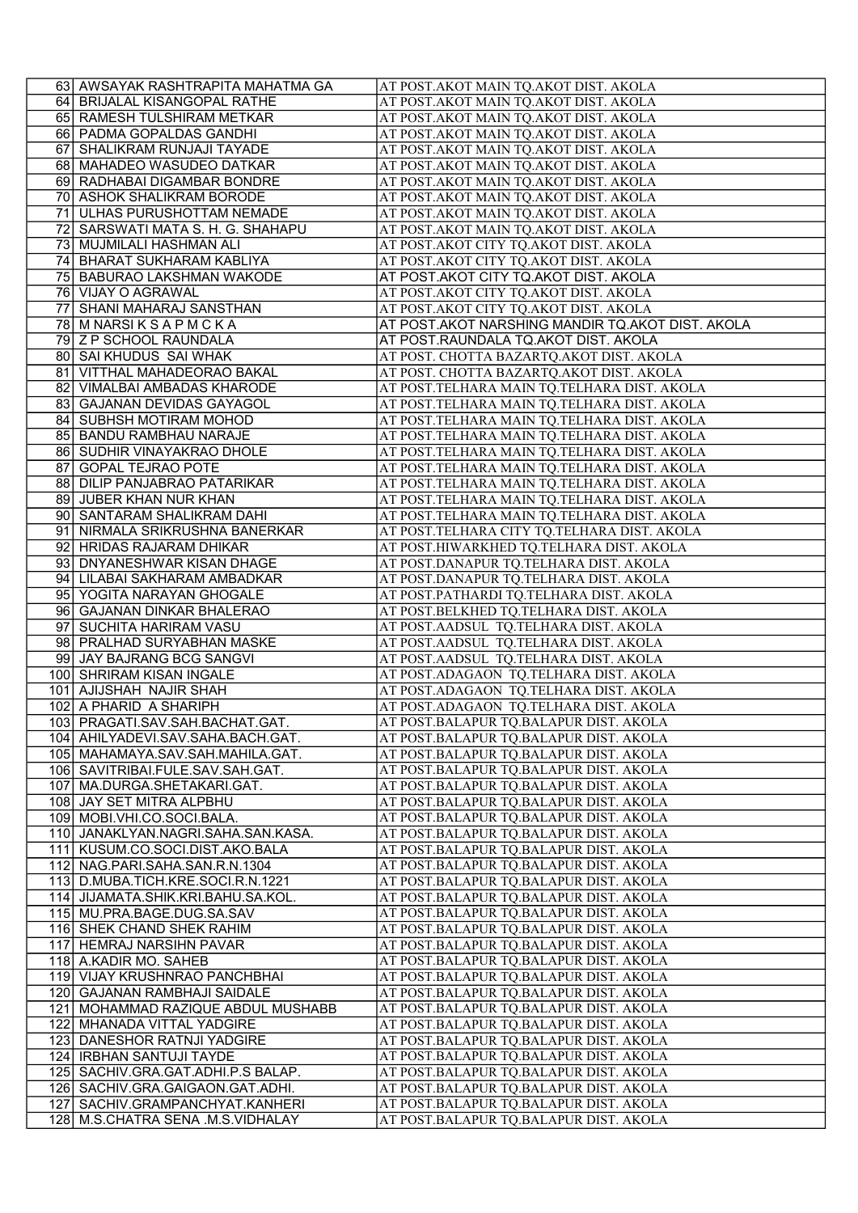| 63 AWSAYAK RASHTRAPITA MAHATMA GA                                       | AT POST.AKOT MAIN TQ.AKOT DIST. AKOLA                                                      |
|-------------------------------------------------------------------------|--------------------------------------------------------------------------------------------|
| 64 BRIJALAL KISANGOPAL RATHE                                            | AT POST.AKOT MAIN TQ.AKOT DIST. AKOLA                                                      |
| 65 RAMESH TULSHIRAM METKAR                                              | AT POST.AKOT MAIN TQ.AKOT DIST. AKOLA                                                      |
| 66 PADMA GOPALDAS GANDHI                                                | AT POST.AKOT MAIN TQ.AKOT DIST. AKOLA                                                      |
| 67 SHALIKRAM RUNJAJI TAYADE                                             | AT POST.AKOT MAIN TQ.AKOT DIST. AKOLA                                                      |
| 68 MAHADEO WASUDEO DATKAR                                               | AT POST.AKOT MAIN TQ.AKOT DIST. AKOLA                                                      |
| 69 RADHABAI DIGAMBAR BONDRE                                             | AT POST.AKOT MAIN TQ.AKOT DIST. AKOLA                                                      |
| 70 ASHOK SHALIKRAM BORODE                                               | AT POST.AKOT MAIN TQ.AKOT DIST. AKOLA                                                      |
| 71 ULHAS PURUSHOTTAM NEMADE                                             | AT POST.AKOT MAIN TQ.AKOT DIST. AKOLA                                                      |
| 72 SARSWATI MATA S. H. G. SHAHAPU                                       | AT POST.AKOT MAIN TQ.AKOT DIST. AKOLA                                                      |
| 73 MUJMILALI HASHMAN ALI                                                | AT POST.AKOT CITY TQ.AKOT DIST. AKOLA                                                      |
| 74 BHARAT SUKHARAM KABLIYA                                              | AT POST.AKOT CITY TQ.AKOT DIST. AKOLA                                                      |
| 75 BABURAO LAKSHMAN WAKODE                                              | AT POST.AKOT CITY TQ.AKOT DIST. AKOLA                                                      |
| 76 VIJAY O AGRAWAL                                                      | AT POST.AKOT CITY TQ.AKOT DIST. AKOLA                                                      |
| 77 SHANI MAHARAJ SANSTHAN                                               | AT POST.AKOT CITY TQ.AKOT DIST. AKOLA                                                      |
| 78 M NARSIKSAPMCKA                                                      | AT POST.AKOT NARSHING MANDIR TQ.AKOT DIST. AKOLA                                           |
| 79 Z P SCHOOL RAUNDALA                                                  | AT POST.RAUNDALA TQ.AKOT DIST. AKOLA                                                       |
| 80 SAI KHUDUS SAI WHAK                                                  | AT POST. CHOTTA BAZARTQ.AKOT DIST. AKOLA                                                   |
| 81 VITTHAL MAHADEORAO BAKAL                                             | AT POST. CHOTTA BAZARTQ.AKOT DIST. AKOLA                                                   |
| 82 VIMALBAI AMBADAS KHARODE                                             | AT POST.TELHARA MAIN TQ.TELHARA DIST. AKOLA                                                |
| 83 GAJANAN DEVIDAS GAYAGOL                                              | AT POST.TELHARA MAIN TQ.TELHARA DIST. AKOLA<br>AT POST.TELHARA MAIN TQ.TELHARA DIST. AKOLA |
| 84 SUBHSH MOTIRAM MOHOD<br>85 BANDU RAMBHAU NARAJE                      | AT POST.TELHARA MAIN TQ.TELHARA DIST. AKOLA                                                |
| 86 SUDHIR VINAYAKRAO DHOLE                                              | AT POST.TELHARA MAIN TQ.TELHARA DIST. AKOLA                                                |
| 87 GOPAL TEJRAO POTE                                                    | AT POST.TELHARA MAIN TQ.TELHARA DIST. AKOLA                                                |
| 88 DILIP PANJABRAO PATARIKAR                                            | AT POST.TELHARA MAIN TQ.TELHARA DIST. AKOLA                                                |
| 89 JUBER KHAN NUR KHAN                                                  | AT POST.TELHARA MAIN TQ.TELHARA DIST. AKOLA                                                |
| 90 SANTARAM SHALIKRAM DAHI                                              | AT POST.TELHARA MAIN TQ.TELHARA DIST. AKOLA                                                |
| 91 NIRMALA SRIKRUSHNA BANERKAR                                          | AT POST.TELHARA CITY TQ.TELHARA DIST. AKOLA                                                |
| 92 HRIDAS RAJARAM DHIKAR                                                | AT POST.HIWARKHED TQ.TELHARA DIST. AKOLA                                                   |
| 93 DNYANESHWAR KISAN DHAGE                                              | AT POST.DANAPUR TQ.TELHARA DIST. AKOLA                                                     |
| 94 LILABAI SAKHARAM AMBADKAR                                            | AT POST.DANAPUR TQ.TELHARA DIST. AKOLA                                                     |
| 95 YOGITA NARAYAN GHOGALE                                               | AT POST.PATHARDI TQ.TELHARA DIST. AKOLA                                                    |
| 96 GAJANAN DINKAR BHALERAO                                              | AT POST.BELKHED TQ.TELHARA DIST. AKOLA                                                     |
| 97 SUCHITA HARIRAM VASU                                                 | AT POST.AADSUL TQ.TELHARA DIST. AKOLA                                                      |
| 98 PRALHAD SURYABHAN MASKE                                              | AT POST.AADSUL TQ.TELHARA DIST. AKOLA                                                      |
| 99 JAY BAJRANG BCG SANGVI                                               | AT POST.AADSUL TQ.TELHARA DIST. AKOLA                                                      |
| 100 SHRIRAM KISAN INGALE                                                | AT POST.ADAGAON TQ.TELHARA DIST. AKOLA                                                     |
| 101 AJIJSHAH NAJIR SHAH                                                 | AT POST.ADAGAON TQ.TELHARA DIST. AKOLA                                                     |
| 102 A PHARID A SHARIPH                                                  | AT POST.ADAGAON TQ.TELHARA DIST. AKOLA                                                     |
| 103 PRAGATI.SAV.SAH.BACHAT.GAT.                                         | AT POST.BALAPUR TQ.BALAPUR DIST. AKOLA                                                     |
| 104 AHILYADEVI.SAV.SAHA.BACH.GAT.<br>105   MAHAMAYA.SAV.SAH.MAHILA.GAT. | AT POST.BALAPUR TQ.BALAPUR DIST. AKOLA<br>AT POST.BALAPUR TQ.BALAPUR DIST. AKOLA           |
| 106 SAVITRIBAI.FULE.SAV.SAH.GAT.                                        | AT POST.BALAPUR TQ.BALAPUR DIST. AKOLA                                                     |
| 107 MA.DURGA.SHETAKARI.GAT.                                             | AT POST.BALAPUR TQ.BALAPUR DIST. AKOLA                                                     |
| 108 JAY SET MITRA ALPBHU                                                | AT POST.BALAPUR TQ.BALAPUR DIST. AKOLA                                                     |
| 109 MOBI.VHI.CO.SOCI.BALA.                                              | AT POST.BALAPUR TQ.BALAPUR DIST. AKOLA                                                     |
| 110 JANAKLYAN.NAGRI.SAHA.SAN.KASA.                                      | AT POST.BALAPUR TQ.BALAPUR DIST. AKOLA                                                     |
| 111 KUSUM.CO.SOCI.DIST.AKO.BALA                                         | AT POST.BALAPUR TQ.BALAPUR DIST. AKOLA                                                     |
| 112 NAG. PARI. SAHA. SAN. R. N. 1304                                    | AT POST.BALAPUR TQ.BALAPUR DIST. AKOLA                                                     |
| 113 D.MUBA.TICH.KRE.SOCI.R.N.1221                                       | AT POST.BALAPUR TQ.BALAPUR DIST. AKOLA                                                     |
| 114 JIJAMATA.SHIK.KRI.BAHU.SA.KOL.                                      | AT POST.BALAPUR TQ.BALAPUR DIST. AKOLA                                                     |
| 115 MU.PRA.BAGE.DUG.SA.SAV                                              | AT POST.BALAPUR TQ.BALAPUR DIST. AKOLA                                                     |
| 116 SHEK CHAND SHEK RAHIM                                               | AT POST.BALAPUR TQ.BALAPUR DIST. AKOLA                                                     |
| 117 HEMRAJ NARSIHN PAVAR                                                | AT POST.BALAPUR TQ.BALAPUR DIST. AKOLA                                                     |
| 118 A.KADIR MO. SAHEB                                                   | AT POST.BALAPUR TQ.BALAPUR DIST. AKOLA                                                     |
| 119 VIJAY KRUSHNRAO PANCHBHAI                                           | AT POST.BALAPUR TQ.BALAPUR DIST. AKOLA                                                     |
| 120 GAJANAN RAMBHAJI SAIDALE                                            | AT POST.BALAPUR TQ.BALAPUR DIST. AKOLA                                                     |
| 121 MOHAMMAD RAZIQUE ABDUL MUSHABB<br>122 MHANADA VITTAL YADGIRE        | AT POST.BALAPUR TQ.BALAPUR DIST. AKOLA<br>AT POST.BALAPUR TQ.BALAPUR DIST. AKOLA           |
| 123 DANESHOR RATNJI YADGIRE                                             | AT POST.BALAPUR TQ.BALAPUR DIST. AKOLA                                                     |
| 124 IRBHAN SANTUJI TAYDE                                                | AT POST.BALAPUR TQ.BALAPUR DIST. AKOLA                                                     |
| 125 SACHIV.GRA.GAT.ADHI.P.S BALAP.                                      | AT POST.BALAPUR TQ.BALAPUR DIST. AKOLA                                                     |
| 126 SACHIV.GRA.GAIGAON.GAT.ADHI.                                        | AT POST.BALAPUR TQ.BALAPUR DIST. AKOLA                                                     |
| 127 SACHIV.GRAMPANCHYAT.KANHERI                                         | AT POST.BALAPUR TQ.BALAPUR DIST. AKOLA                                                     |
| 128 M.S.CHATRA SENA .M.S.VIDHALAY                                       | AT POST.BALAPUR TQ.BALAPUR DIST. AKOLA                                                     |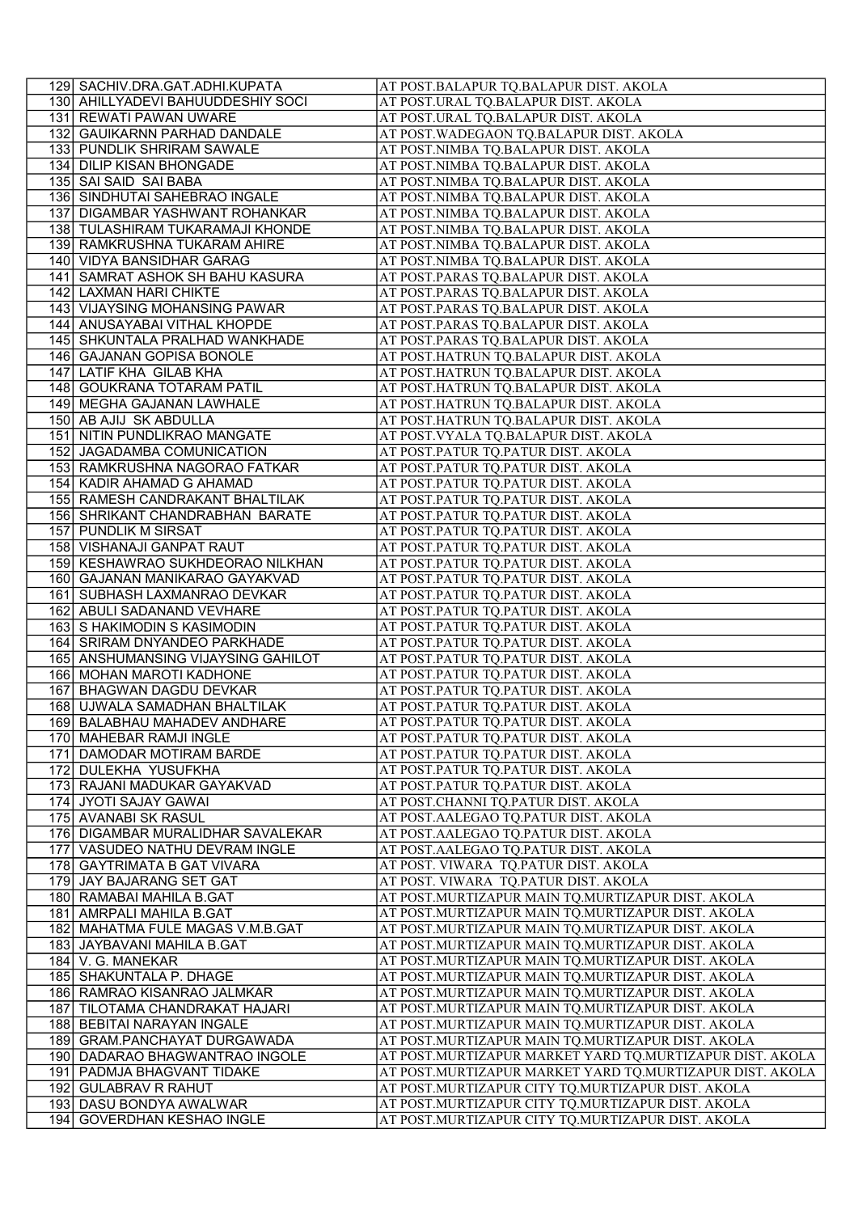| 129 SACHIV.DRA.GAT.ADHI.KUPATA                               | AT POST.BALAPUR TQ.BALAPUR DIST. AKOLA                                                                 |
|--------------------------------------------------------------|--------------------------------------------------------------------------------------------------------|
| 130 AHILLYADEVI BAHUUDDESHIY SOCI                            | AT POST.URAL TQ.BALAPUR DIST. AKOLA                                                                    |
| 131 REWATI PAWAN UWARE                                       | AT POST.URAL TQ.BALAPUR DIST. AKOLA                                                                    |
| 132 GAUIKARNN PARHAD DANDALE                                 | AT POST. WADEGAON TO.BALAPUR DIST. AKOLA                                                               |
| 133 PUNDLIK SHRIRAM SAWALE                                   | AT POST.NIMBA TQ.BALAPUR DIST. AKOLA                                                                   |
| 134 DILIP KISAN BHONGADE                                     | AT POST.NIMBA TQ.BALAPUR DIST. AKOLA                                                                   |
| 135 SAI SAID SAI BABA                                        | AT POST.NIMBA TQ.BALAPUR DIST. AKOLA                                                                   |
| 136 SINDHUTAI SAHEBRAO INGALE                                | AT POST.NIMBA TQ.BALAPUR DIST. AKOLA                                                                   |
| 137 DIGAMBAR YASHWANT ROHANKAR                               | AT POST.NIMBA TQ.BALAPUR DIST. AKOLA                                                                   |
| 138 TULASHIRAM TUKARAMAJI KHONDE                             | AT POST.NIMBA TQ.BALAPUR DIST. AKOLA                                                                   |
| 139 RAMKRUSHNA TUKARAM AHIRE                                 | AT POST.NIMBA TQ.BALAPUR DIST. AKOLA                                                                   |
| 140 VIDYA BANSIDHAR GARAG                                    | AT POST.NIMBA TQ.BALAPUR DIST. AKOLA                                                                   |
| 141 SAMRAT ASHOK SH BAHU KASURA                              | AT POST.PARAS TQ.BALAPUR DIST. AKOLA                                                                   |
| 142 LAXMAN HARI CHIKTE                                       | AT POST.PARAS TQ.BALAPUR DIST. AKOLA                                                                   |
| 143 VIJAYSING MOHANSING PAWAR                                | AT POST.PARAS TQ.BALAPUR DIST. AKOLA                                                                   |
| 144 ANUSAYABAI VITHAL KHOPDE                                 | AT POST.PARAS TQ.BALAPUR DIST. AKOLA                                                                   |
| 145 SHKUNTALA PRALHAD WANKHADE                               | AT POST.PARAS TQ.BALAPUR DIST. AKOLA                                                                   |
| 146 GAJANAN GOPISA BONOLE                                    | AT POST.HATRUN TQ.BALAPUR DIST. AKOLA                                                                  |
| 147 LATIF KHA GILAB KHA                                      | AT POST.HATRUN TQ.BALAPUR DIST. AKOLA                                                                  |
| 148 GOUKRANA TOTARAM PATIL                                   | AT POST.HATRUN TQ.BALAPUR DIST. AKOLA<br>AT POST.HATRUN TQ.BALAPUR DIST. AKOLA                         |
| 149 MEGHA GAJANAN LAWHALE<br>150 AB AJIJ SK ABDULLA          | AT POST.HATRUN TQ.BALAPUR DIST. AKOLA                                                                  |
| 151 NITIN PUNDLIKRAO MANGATE                                 | AT POST. VYALA TQ.BALAPUR DIST. AKOLA                                                                  |
| 152 JAGADAMBA COMUNICATION                                   | AT POST.PATUR TQ.PATUR DIST. AKOLA                                                                     |
| 153 RAMKRUSHNA NAGORAO FATKAR                                | AT POST.PATUR TQ.PATUR DIST. AKOLA                                                                     |
| 154 KADIR AHAMAD G AHAMAD                                    | AT POST.PATUR TQ.PATUR DIST. AKOLA                                                                     |
| 155 RAMESH CANDRAKANT BHALTILAK                              | AT POST.PATUR TQ.PATUR DIST. AKOLA                                                                     |
| 156 SHRIKANT CHANDRABHAN BARATE                              | AT POST.PATUR TQ.PATUR DIST. AKOLA                                                                     |
| 157 PUNDLIK M SIRSAT                                         | AT POST.PATUR TQ.PATUR DIST. AKOLA                                                                     |
| 158 VISHANAJI GANPAT RAUT                                    | AT POST.PATUR TQ.PATUR DIST. AKOLA                                                                     |
| 159 KESHAWRAO SUKHDEORAO NILKHAN                             | AT POST.PATUR TQ.PATUR DIST. AKOLA                                                                     |
| 160 GAJANAN MANIKARAO GAYAKVAD                               | AT POST.PATUR TQ.PATUR DIST. AKOLA                                                                     |
| 161 SUBHASH LAXMANRAO DEVKAR                                 | AT POST.PATUR TQ.PATUR DIST. AKOLA                                                                     |
| 162 ABULI SADANAND VEVHARE                                   | AT POST.PATUR TQ.PATUR DIST. AKOLA                                                                     |
| 163 S HAKIMODIN S KASIMODIN                                  | AT POST.PATUR TQ.PATUR DIST. AKOLA                                                                     |
| 164 SRIRAM DNYANDEO PARKHADE                                 | AT POST.PATUR TQ.PATUR DIST. AKOLA                                                                     |
| 165 ANSHUMANSING VIJAYSING GAHILOT                           | AT POST.PATUR TQ.PATUR DIST. AKOLA                                                                     |
| 166 MOHAN MAROTI KADHONE<br>167 BHAGWAN DAGDU DEVKAR         | AT POST.PATUR TQ.PATUR DIST. AKOLA<br>AT POST.PATUR TQ.PATUR DIST. AKOLA                               |
| 168 UJWALA SAMADHAN BHALTILAK                                | AT POST.PATUR TQ.PATUR DIST. AKOLA                                                                     |
| 169 BALABHAU MAHADEV ANDHARE                                 | AT POST.PATUR TQ.PATUR DIST. AKOLA                                                                     |
| 170 MAHEBAR RAMJI INGLE                                      | AT POST.PATUR TQ.PATUR DIST. AKOLA                                                                     |
| 171 DAMODAR MOTIRAM BARDE                                    | AT POST.PATUR TQ.PATUR DIST. AKOLA                                                                     |
| 172 DULEKHA YUSUFKHA                                         | AT POST.PATUR TQ.PATUR DIST. AKOLA                                                                     |
| 173 RAJANI MADUKAR GAYAKVAD                                  | AT POST.PATUR TQ.PATUR DIST. AKOLA                                                                     |
| 174 JYOTI SAJAY GAWAI                                        | AT POST.CHANNI TQ.PATUR DIST. AKOLA                                                                    |
| 175 AVANABI SK RASUL                                         | AT POST.AALEGAO TQ.PATUR DIST. AKOLA                                                                   |
| 176 DIGAMBAR MURALIDHAR SAVALEKAR                            | AT POST.AALEGAO TQ.PATUR DIST. AKOLA                                                                   |
| 177 VASUDEO NATHU DEVRAM INGLE                               | AT POST.AALEGAO TQ.PATUR DIST. AKOLA                                                                   |
| 178 GAYTRIMATA B GAT VIVARA                                  | AT POST. VIWARA TQ.PATUR DIST. AKOLA                                                                   |
| 179 JAY BAJARANG SET GAT                                     | AT POST. VIWARA TQ.PATUR DIST. AKOLA                                                                   |
| 180 RAMABAI MAHILA B.GAT                                     | AT POST.MURTIZAPUR MAIN TQ.MURTIZAPUR DIST. AKOLA                                                      |
| 181 AMRPALI MAHILA B.GAT<br>182 MAHATMA FULE MAGAS V.M.B.GAT | AT POST.MURTIZAPUR MAIN TQ.MURTIZAPUR DIST. AKOLA                                                      |
| 183 JAYBAVANI MAHILA B.GAT                                   | AT POST.MURTIZAPUR MAIN TQ.MURTIZAPUR DIST. AKOLA<br>AT POST.MURTIZAPUR MAIN TQ.MURTIZAPUR DIST. AKOLA |
| 184 V. G. MANEKAR                                            | AT POST.MURTIZAPUR MAIN TQ.MURTIZAPUR DIST. AKOLA                                                      |
| 185 SHAKUNTALA P. DHAGE                                      | AT POST.MURTIZAPUR MAIN TQ.MURTIZAPUR DIST. AKOLA                                                      |
| 186 RAMRAO KISANRAO JALMKAR                                  | AT POST.MURTIZAPUR MAIN TQ.MURTIZAPUR DIST. AKOLA                                                      |
| 187 TILOTAMA CHANDRAKAT HAJARI                               | AT POST.MURTIZAPUR MAIN TQ.MURTIZAPUR DIST. AKOLA                                                      |
| 188 BEBITAI NARAYAN INGALE                                   | AT POST.MURTIZAPUR MAIN TQ.MURTIZAPUR DIST. AKOLA                                                      |
| 189 GRAM.PANCHAYAT DURGAWADA                                 | AT POST.MURTIZAPUR MAIN TQ.MURTIZAPUR DIST. AKOLA                                                      |
| 190 DADARAO BHAGWANTRAO INGOLE                               | AT POST.MURTIZAPUR MARKET YARD TQ.MURTIZAPUR DIST. AKOLA                                               |
| 191 PADMJA BHAGVANT TIDAKE                                   | AT POST.MURTIZAPUR MARKET YARD TQ.MURTIZAPUR DIST. AKOLA                                               |
| 192 GULABRAV R RAHUT                                         | AT POST.MURTIZAPUR CITY TQ.MURTIZAPUR DIST. AKOLA                                                      |
| 193 DASU BONDYA AWALWAR                                      | AT POST.MURTIZAPUR CITY TQ.MURTIZAPUR DIST. AKOLA                                                      |
| 194 GOVERDHAN KESHAO INGLE                                   | AT POST.MURTIZAPUR CITY TQ.MURTIZAPUR DIST. AKOLA                                                      |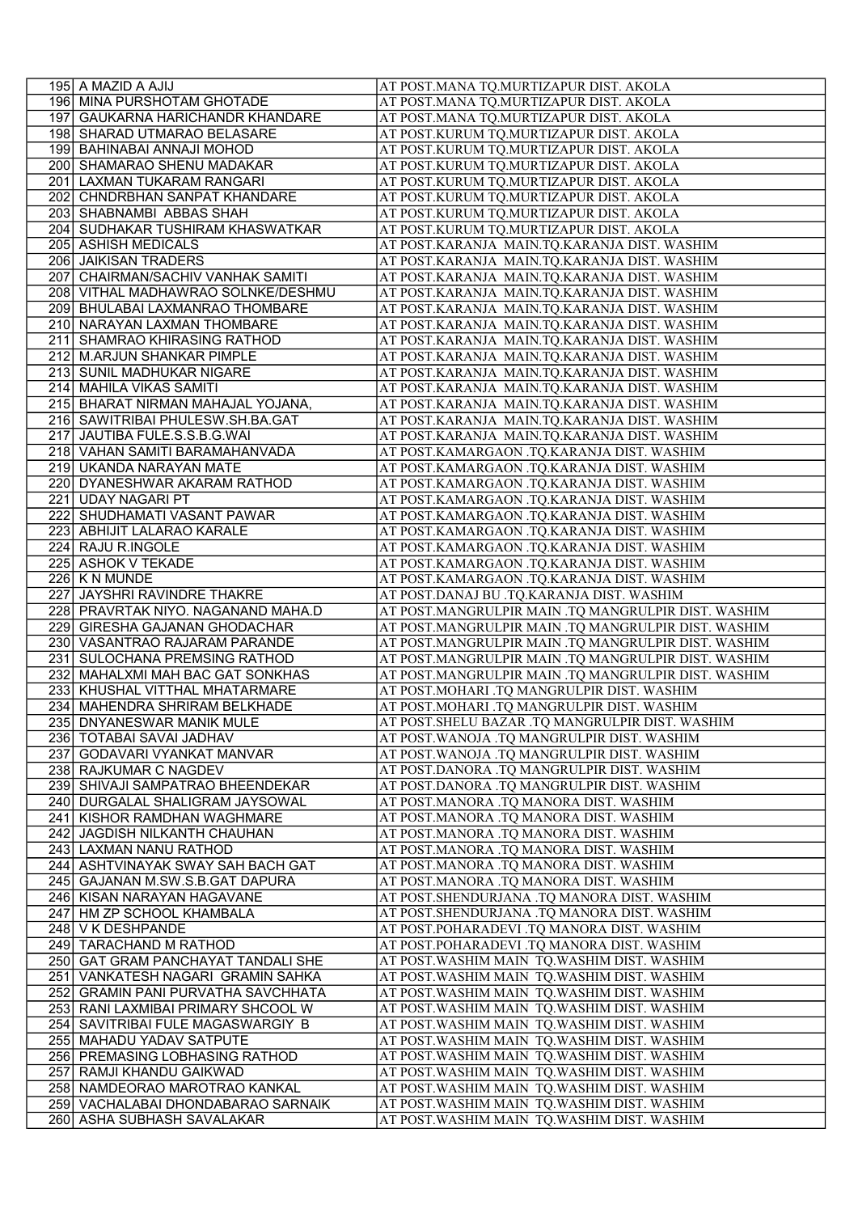| 195 A MAZID A AJIJ                                                      | AT POST.MANA TQ.MURTIZAPUR DIST. AKOLA                                                       |
|-------------------------------------------------------------------------|----------------------------------------------------------------------------------------------|
| 196 MINA PURSHOTAM GHOTADE                                              | AT POST.MANA TQ.MURTIZAPUR DIST. AKOLA                                                       |
| 197 GAUKARNA HARICHANDR KHANDARE                                        | AT POST.MANA TQ.MURTIZAPUR DIST. AKOLA                                                       |
| 198 SHARAD UTMARAO BELASARE                                             | AT POST.KURUM TQ.MURTIZAPUR DIST. AKOLA                                                      |
| 199 BAHINABAI ANNAJI MOHOD                                              | AT POST.KURUM TQ.MURTIZAPUR DIST. AKOLA                                                      |
| 200 SHAMARAO SHENU MADAKAR                                              | AT POST.KURUM TQ.MURTIZAPUR DIST. AKOLA                                                      |
| 201 LAXMAN TUKARAM RANGARI                                              | AT POST.KURUM TQ.MURTIZAPUR DIST. AKOLA                                                      |
| 202 CHNDRBHAN SANPAT KHANDARE                                           | AT POST.KURUM TQ.MURTIZAPUR DIST. AKOLA                                                      |
| 203 SHABNAMBI ABBAS SHAH                                                | AT POST.KURUM TQ.MURTIZAPUR DIST. AKOLA                                                      |
| 204 SUDHAKAR TUSHIRAM KHASWATKAR                                        | AT POST.KURUM TQ.MURTIZAPUR DIST. AKOLA                                                      |
| 205 ASHISH MEDICALS                                                     | AT POST.KARANJA MAIN.TQ.KARANJA DIST. WASHIM                                                 |
| 206 JAIKISAN TRADERS                                                    | AT POST.KARANJA MAIN.TQ.KARANJA DIST. WASHIM                                                 |
| 207 CHAIRMAN/SACHIV VANHAK SAMITI<br>208 VITHAL MADHAWRAO SOLNKE/DESHMU | AT POST.KARANJA MAIN.TQ.KARANJA DIST. WASHIM                                                 |
| 209 BHULABAI LAXMANRAO THOMBARE                                         | AT POST.KARANJA MAIN.TQ.KARANJA DIST. WASHIM<br>AT POST.KARANJA MAIN.TQ.KARANJA DIST. WASHIM |
| 210 NARAYAN LAXMAN THOMBARE                                             | AT POST.KARANJA MAIN.TQ.KARANJA DIST. WASHIM                                                 |
| 211 SHAMRAO KHIRASING RATHOD                                            | AT POST.KARANJA MAIN.TQ.KARANJA DIST. WASHIM                                                 |
| 212 M.ARJUN SHANKAR PIMPLE                                              | AT POST.KARANJA  MAIN.TQ.KARANJA DIST. WASHIM                                                |
| 213 SUNIL MADHUKAR NIGARE                                               | AT POST.KARANJA MAIN.TQ.KARANJA DIST. WASHIM                                                 |
| 214 MAHILA VIKAS SAMITI                                                 | AT POST.KARANJA MAIN.TQ.KARANJA DIST. WASHIM                                                 |
| 215 BHARAT NIRMAN MAHAJAL YOJANA,                                       | AT POST.KARANJA MAIN.TQ.KARANJA DIST. WASHIM                                                 |
| 216 SAWITRIBAI PHULESW.SH.BA.GAT                                        | AT POST.KARANJA MAIN.TQ.KARANJA DIST. WASHIM                                                 |
| 217 JAUTIBA FULE.S.S.B.G.WAI                                            | AT POST.KARANJA MAIN.TQ.KARANJA DIST. WASHIM                                                 |
| 218 VAHAN SAMITI BARAMAHANVADA                                          | AT POST.KAMARGAON .TQ.KARANJA DIST. WASHIM                                                   |
| 219 UKANDA NARAYAN MATE                                                 | AT POST.KAMARGAON .TQ.KARANJA DIST. WASHIM                                                   |
| 220 DYANESHWAR AKARAM RATHOD                                            | AT POST.KAMARGAON .TQ.KARANJA DIST. WASHIM                                                   |
| 221 UDAY NAGARI PT                                                      | AT POST.KAMARGAON .TQ.KARANJA DIST. WASHIM                                                   |
| 222 SHUDHAMATI VASANT PAWAR                                             | AT POST.KAMARGAON .TQ.KARANJA DIST. WASHIM                                                   |
| 223 ABHIJIT LALARAO KARALE                                              | AT POST.KAMARGAON .TQ.KARANJA DIST. WASHIM                                                   |
| 224 RAJU R.INGOLE                                                       | AT POST.KAMARGAON .TQ.KARANJA DIST. WASHIM                                                   |
| 225 ASHOK V TEKADE<br>$226$ K N MUNDE                                   | AT POST.KAMARGAON .TQ.KARANJA DIST. WASHIM<br>AT POST.KAMARGAON .TQ.KARANJA DIST. WASHIM     |
| 227 JAYSHRI RAVINDRE THAKRE                                             | AT POST.DANAJ BU .TQ.KARANJA DIST. WASHIM                                                    |
| 228 PRAVRTAK NIYO. NAGANAND MAHA.D                                      | AT POST.MANGRULPIR MAIN .TQ MANGRULPIR DIST. WASHIM                                          |
| 229 GIRESHA GAJANAN GHODACHAR                                           | AT POST.MANGRULPIR MAIN .TQ MANGRULPIR DIST. WASHIM                                          |
| 230 VASANTRAO RAJARAM PARANDE                                           | AT POST.MANGRULPIR MAIN .TQ MANGRULPIR DIST. WASHIM                                          |
| 231 SULOCHANA PREMSING RATHOD                                           | AT POST.MANGRULPIR MAIN .TQ MANGRULPIR DIST. WASHIM                                          |
| 232 MAHALXMI MAH BAC GAT SONKHAS                                        | AT POST.MANGRULPIR MAIN .TQ MANGRULPIR DIST. WASHIM                                          |
| 233 KHUSHAL VITTHAL MHATARMARE                                          | AT POST.MOHARI .TQ MANGRULPIR DIST. WASHIM                                                   |
| 234 MAHENDRA SHRIRAM BELKHADE                                           | AT POST.MOHARI .TQ MANGRULPIR DIST. WASHIM                                                   |
| 235 DNYANESWAR MANIK MULE                                               | AT POST. SHELU BAZAR .TQ MANGRULPIR DIST. WASHIM                                             |
| 236 TOTABAI SAVAI JADHAV                                                | AT POST. WANOJA .TQ MANGRULPIR DIST. WASHIM                                                  |
| 237   GODAVARI VYANKAT MANVAR                                           | AT POST. WANOJA .TQ MANGRULPIR DIST. WASHIM                                                  |
| 238 RAJKUMAR C NAGDEV                                                   | AT POST.DANORA .TQ MANGRULPIR DIST. WASHIM                                                   |
| 239 SHIVAJI SAMPATRAO BHEENDEKAR                                        | AT POST.DANORA .TQ MANGRULPIR DIST. WASHIM                                                   |
| 240 DURGALAL SHALIGRAM JAYSOWAL                                         | AT POST.MANORA .TQ MANORA DIST. WASHIM                                                       |
| 241 KISHOR RAMDHAN WAGHMARE<br>242 JAGDISH NILKANTH CHAUHAN             | AT POST.MANORA .TQ MANORA DIST. WASHIM<br>AT POST.MANORA .TQ MANORA DIST. WASHIM             |
| 243 LAXMAN NANU RATHOD                                                  | AT POST.MANORA .TQ MANORA DIST. WASHIM                                                       |
| 244 ASHTVINAYAK SWAY SAH BACH GAT                                       | AT POST.MANORA .TQ MANORA DIST. WASHIM                                                       |
| 245 GAJANAN M.SW.S.B.GAT DAPURA                                         | AT POST.MANORA .TQ MANORA DIST. WASHIM                                                       |
| 246 KISAN NARAYAN HAGAVANE                                              | AT POST.SHENDURJANA .TQ MANORA DIST. WASHIM                                                  |
| 247 HM ZP SCHOOL KHAMBALA                                               | AT POST.SHENDURJANA .TQ MANORA DIST. WASHIM                                                  |
| 248 V K DESHPANDE                                                       | AT POST.POHARADEVI .TQ MANORA DIST. WASHIM                                                   |
| 249 TARACHAND M RATHOD                                                  | AT POST.POHARADEVI .TQ MANORA DIST. WASHIM                                                   |
| 250 GAT GRAM PANCHAYAT TANDALI SHE                                      | AT POST. WASHIM MAIN TQ. WASHIM DIST. WASHIM                                                 |
| 251 VANKATESH NAGARI GRAMIN SAHKA                                       | AT POST. WASHIM MAIN TQ. WASHIM DIST. WASHIM                                                 |
| 252 GRAMIN PANI PURVATHA SAVCHHATA                                      | AT POST. WASHIM MAIN TQ. WASHIM DIST. WASHIM                                                 |
| 253 RANI LAXMIBAI PRIMARY SHCOOL W                                      | AT POST. WASHIM MAIN TQ. WASHIM DIST. WASHIM                                                 |
| 254 SAVITRIBAI FULE MAGASWARGIY B                                       | AT POST. WASHIM MAIN TQ. WASHIM DIST. WASHIM                                                 |
| 255  MAHADU YADAV SATPUTE                                               | AT POST. WASHIM MAIN TQ. WASHIM DIST. WASHIM                                                 |
| 256 PREMASING LOBHASING RATHOD<br>257 RAMJI KHANDU GAIKWAD              | AT POST.WASHIM MAIN TQ.WASHIM DIST. WASHIM                                                   |
| 258 NAMDEORAO MAROTRAO KANKAL                                           | AT POST.WASHIM MAIN TQ.WASHIM DIST. WASHIM<br>AT POST. WASHIM MAIN TQ. WASHIM DIST. WASHIM   |
| 259 VACHALABAI DHONDABARAO SARNAIK                                      | AT POST. WASHIM MAIN TQ. WASHIM DIST. WASHIM                                                 |
| 260 ASHA SUBHASH SAVALAKAR                                              | AT POST. WASHIM MAIN TQ. WASHIM DIST. WASHIM                                                 |
|                                                                         |                                                                                              |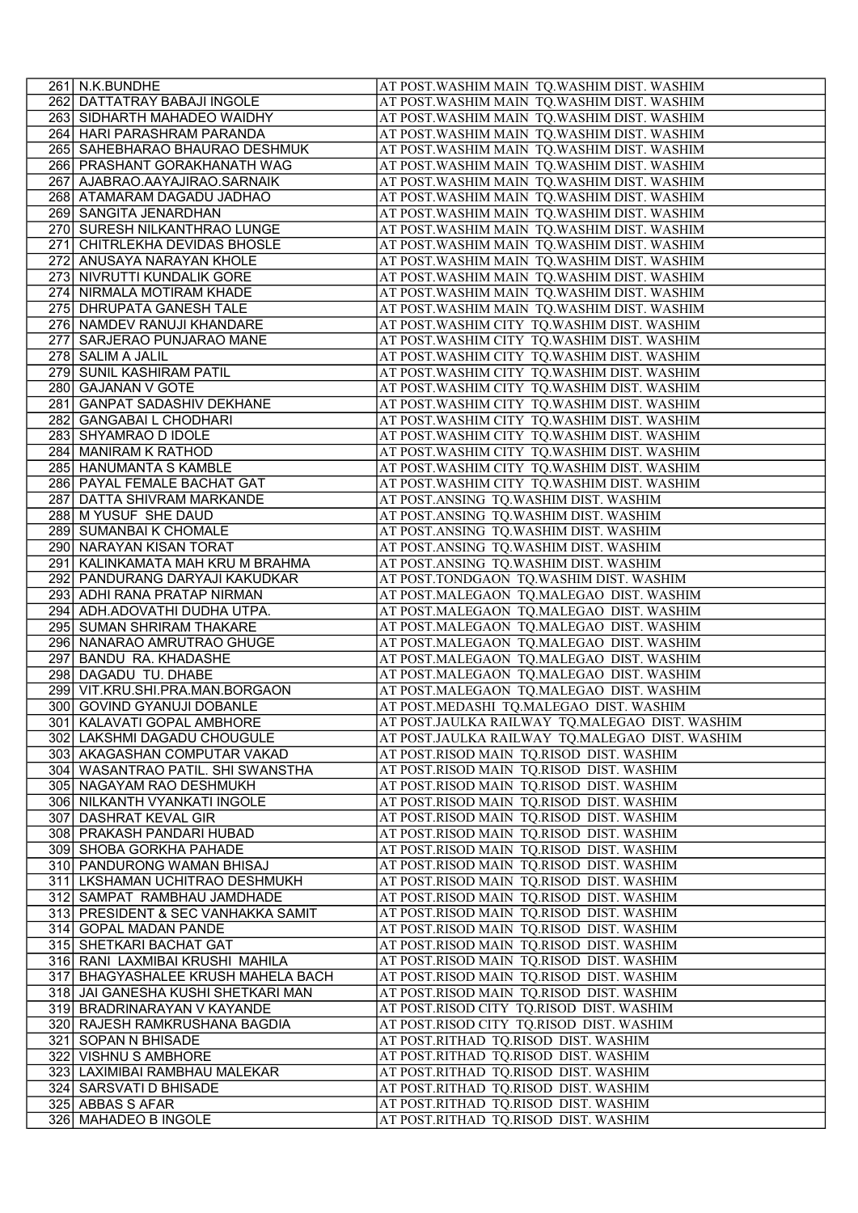|     | 261 N.K.BUNDHE                                                  | AT POST. WASHIM MAIN TQ. WASHIM DIST. WASHIM                                                 |
|-----|-----------------------------------------------------------------|----------------------------------------------------------------------------------------------|
|     | 262 DATTATRAY BABAJI INGOLE                                     | AT POST. WASHIM MAIN TQ. WASHIM DIST. WASHIM                                                 |
|     | 263 SIDHARTH MAHADEO WAIDHY                                     | AT POST. WASHIM MAIN TQ. WASHIM DIST. WASHIM                                                 |
|     | 264 HARI PARASHRAM PARANDA                                      | AT POST. WASHIM MAIN TQ. WASHIM DIST. WASHIM                                                 |
|     | 265 SAHEBHARAO BHAURAO DESHMUK                                  | AT POST. WASHIM MAIN TQ. WASHIM DIST. WASHIM                                                 |
|     | 266 PRASHANT GORAKHANATH WAG                                    | AT POST. WASHIM MAIN TQ. WASHIM DIST. WASHIM                                                 |
|     | 267 AJABRAO.AAYAJIRAO.SARNAIK                                   | AT POST. WASHIM MAIN TQ. WASHIM DIST. WASHIM                                                 |
|     | 268 ATAMARAM DAGADU JADHAO                                      | AT POST. WASHIM MAIN TQ. WASHIM DIST. WASHIM                                                 |
|     | 269 SANGITA JENARDHAN                                           | AT POST. WASHIM MAIN TQ. WASHIM DIST. WASHIM                                                 |
|     | 270 SURESH NILKANTHRAO LUNGE                                    | AT POST. WASHIM MAIN TQ. WASHIM DIST. WASHIM                                                 |
|     | 271 CHITRLEKHA DEVIDAS BHOSLE<br>272 ANUSAYA NARAYAN KHOLE      | AT POST. WASHIM MAIN TQ. WASHIM DIST. WASHIM<br>AT POST. WASHIM MAIN TQ. WASHIM DIST. WASHIM |
|     | 273 NIVRUTTI KUNDALIK GORE                                      | AT POST. WASHIM MAIN TQ. WASHIM DIST. WASHIM                                                 |
|     | 274 NIRMALA MOTIRAM KHADE                                       | AT POST. WASHIM MAIN TQ. WASHIM DIST. WASHIM                                                 |
|     | 275 DHRUPATA GANESH TALE                                        | AT POST. WASHIM MAIN TQ. WASHIM DIST. WASHIM                                                 |
|     | 276 NAMDEV RANUJI KHANDARE                                      | AT POST. WASHIM CITY TQ. WASHIM DIST. WASHIM                                                 |
| 277 | SARJERAO PUNJARAO MANE                                          | AT POST. WASHIM CITY TQ. WASHIM DIST. WASHIM                                                 |
|     | 278 SALIM A JALIL                                               | AT POST. WASHIM CITY TQ. WASHIM DIST. WASHIM                                                 |
|     | 279 SUNIL KASHIRAM PATIL                                        | AT POST. WASHIM CITY TQ. WASHIM DIST. WASHIM                                                 |
|     | 280 GAJANAN V GOTE                                              | AT POST. WASHIM CITY TQ. WASHIM DIST. WASHIM                                                 |
|     | 281 GANPAT SADASHIV DEKHANE                                     | AT POST. WASHIM CITY TQ. WASHIM DIST. WASHIM                                                 |
|     | 282 GANGABAI L CHODHARI                                         | AT POST. WASHIM CITY TQ. WASHIM DIST. WASHIM                                                 |
|     | 283 SHYAMRAO D IDOLE                                            | AT POST. WASHIM CITY TQ. WASHIM DIST. WASHIM                                                 |
|     | 284 MANIRAM K RATHOD                                            | AT POST. WASHIM CITY TQ. WASHIM DIST. WASHIM                                                 |
|     | 285 HANUMANTA S KAMBLE                                          | AT POST. WASHIM CITY TQ. WASHIM DIST. WASHIM                                                 |
|     | 286 PAYAL FEMALE BACHAT GAT                                     | AT POST. WASHIM CITY TQ. WASHIM DIST. WASHIM                                                 |
|     | 287 DATTA SHIVRAM MARKANDE                                      | AT POST.ANSING TQ.WASHIM DIST. WASHIM                                                        |
|     | 288 M YUSUF SHE DAUD<br>289 SUMANBAI K CHOMALE                  | AT POST.ANSING TQ.WASHIM DIST. WASHIM<br>AT POST.ANSING TQ.WASHIM DIST. WASHIM               |
|     | 290 NARAYAN KISAN TORAT                                         | AT POST.ANSING TQ.WASHIM DIST. WASHIM                                                        |
|     | 291 KALINKAMATA MAH KRU M BRAHMA                                | AT POST.ANSING TQ.WASHIM DIST. WASHIM                                                        |
|     | 292 PANDURANG DARYAJI KAKUDKAR                                  | AT POST.TONDGAON TQ.WASHIM DIST. WASHIM                                                      |
|     | 293 ADHI RANA PRATAP NIRMAN                                     | AT POST.MALEGAON TQ.MALEGAO DIST. WASHIM                                                     |
|     | 294 ADH.ADOVATHI DUDHA UTPA.                                    | AT POST.MALEGAON TQ.MALEGAO DIST. WASHIM                                                     |
|     | 295 SUMAN SHRIRAM THAKARE                                       | AT POST.MALEGAON TQ.MALEGAO DIST. WASHIM                                                     |
|     | 296 NANARAO AMRUTRAO GHUGE                                      | AT POST.MALEGAON TQ.MALEGAO DIST. WASHIM                                                     |
|     | 297 BANDU RA. KHADASHE                                          | AT POST.MALEGAON TQ.MALEGAO DIST. WASHIM                                                     |
|     | 298 DAGADU TU. DHABE                                            | AT POST.MALEGAON TQ.MALEGAO DIST. WASHIM                                                     |
|     | 299 VIT.KRU.SHI.PRA.MAN.BORGAON                                 | AT POST.MALEGAON TQ.MALEGAO DIST. WASHIM                                                     |
|     | 300 GOVIND GYANUJI DOBANLE                                      | AT POST.MEDASHI TQ.MALEGAO DIST. WASHIM                                                      |
|     | 301 KALAVATI GOPAL AMBHORE                                      | AT POST.JAULKA RAILWAY TQ.MALEGAO DIST. WASHIM                                               |
|     | 302 LAKSHMI DAGADU CHOUGULE                                     | AT POST.JAULKA RAILWAY TQ.MALEGAO DIST. WASHIM                                               |
|     | 303 AKAGASHAN COMPUTAR VAKAD                                    | AT POST.RISOD MAIN TQ.RISOD DIST. WASHIM                                                     |
|     | 304   WASANTRAO PATIL. SHI SWANSTHA<br>305 NAGAYAM RAO DESHMUKH | AT POST.RISOD MAIN TQ.RISOD DIST. WASHIM<br>AT POST.RISOD MAIN TQ.RISOD DIST. WASHIM         |
|     | 306 NILKANTH VYANKATI INGOLE                                    | AT POST.RISOD MAIN TQ.RISOD DIST. WASHIM                                                     |
|     | 307 DASHRAT KEVAL GIR                                           | AT POST.RISOD MAIN TQ.RISOD DIST. WASHIM                                                     |
|     | 308 PRAKASH PANDARI HUBAD                                       | AT POST.RISOD MAIN TQ.RISOD DIST. WASHIM                                                     |
|     | 309 SHOBA GORKHA PAHADE                                         | AT POST.RISOD MAIN TQ.RISOD DIST. WASHIM                                                     |
|     | 310 PANDURONG WAMAN BHISAJ                                      | AT POST.RISOD MAIN TQ.RISOD DIST. WASHIM                                                     |
|     | 311 LKSHAMAN UCHITRAO DESHMUKH                                  | AT POST.RISOD MAIN TQ.RISOD DIST. WASHIM                                                     |
|     | 312 SAMPAT RAMBHAU JAMDHADE                                     | AT POST.RISOD MAIN TQ.RISOD DIST. WASHIM                                                     |
|     | 313 PRESIDENT & SEC VANHAKKA SAMIT                              | AT POST.RISOD MAIN TQ.RISOD DIST. WASHIM                                                     |
|     | 314 GOPAL MADAN PANDE                                           | AT POST.RISOD MAIN TQ.RISOD DIST. WASHIM                                                     |
|     | 315 SHETKARI BACHAT GAT                                         | AT POST.RISOD MAIN TQ.RISOD DIST. WASHIM                                                     |
|     | 316 RANI LAXMIBAI KRUSHI MAHILA                                 | AT POST.RISOD MAIN TQ.RISOD DIST. WASHIM                                                     |
|     | 317 BHAGYASHALEE KRUSH MAHELA BACH                              | AT POST.RISOD MAIN TQ.RISOD DIST. WASHIM                                                     |
|     | 318 JAI GANESHA KUSHI SHETKARI MAN                              | AT POST.RISOD MAIN TQ.RISOD DIST. WASHIM                                                     |
|     | 319 BRADRINARAYAN V KAYANDE<br>320 RAJESH RAMKRUSHANA BAGDIA    | AT POST.RISOD CITY TQ.RISOD DIST. WASHIM<br>AT POST.RISOD CITY TQ.RISOD DIST. WASHIM         |
|     | 321 SOPAN N BHISADE                                             | AT POST.RITHAD TQ.RISOD DIST. WASHIM                                                         |
|     | 322 VISHNU S AMBHORE                                            | AT POST.RITHAD TQ.RISOD DIST. WASHIM                                                         |
|     | 323 LAXIMIBAI RAMBHAU MALEKAR                                   | AT POST.RITHAD TQ.RISOD DIST. WASHIM                                                         |
|     | 324 SARSVATI D BHISADE                                          | AT POST.RITHAD TQ.RISOD DIST. WASHIM                                                         |
|     | 325 ABBAS S AFAR                                                | AT POST.RITHAD TQ.RISOD DIST. WASHIM                                                         |
|     | 326 MAHADEO B INGOLE                                            | AT POST.RITHAD TQ.RISOD DIST. WASHIM                                                         |